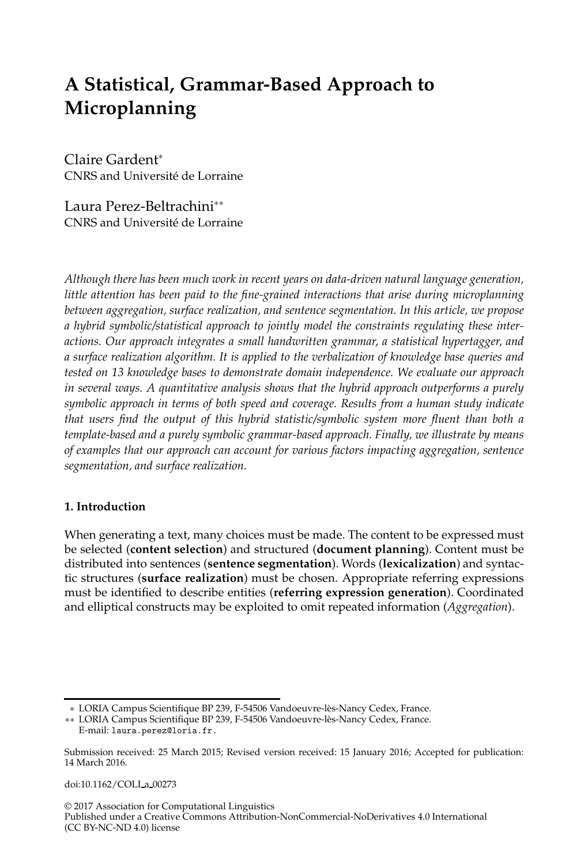# **A Statistical, Grammar-Based Approach to Microplanning**

Claire Gardent<sup>∗</sup> CNRS and Université de Lorraine

Laura Perez-Beltrachini∗∗ CNRS and Université de Lorraine

*Although there has been much work in recent years on data-driven natural language generation, little attention has been paid to the fine-grained interactions that arise during microplanning between aggregation, surface realization, and sentence segmentation. In this article, we propose a hybrid symbolic/statistical approach to jointly model the constraints regulating these interactions. Our approach integrates a small handwritten grammar, a statistical hypertagger, and a surface realization algorithm. It is applied to the verbalization of knowledge base queries and tested on 13 knowledge bases to demonstrate domain independence. We evaluate our approach in several ways. A quantitative analysis shows that the hybrid approach outperforms a purely symbolic approach in terms of both speed and coverage. Results from a human study indicate that users find the output of this hybrid statistic/symbolic system more fluent than both a template-based and a purely symbolic grammar-based approach. Finally, we illustrate by means of examples that our approach can account for various factors impacting aggregation, sentence segmentation, and surface realization.*

# **1. Introduction**

When generating a text, many choices must be made. The content to be expressed must be selected (**content selection**) and structured (**document planning**). Content must be distributed into sentences (**sentence segmentation**). Words (**lexicalization**) and syntactic structures (**surface realization**) must be chosen. Appropriate referring expressions must be identified to describe entities (**referring expression generation**). Coordinated and elliptical constructs may be exploited to omit repeated information (*Aggregation*).

doi:10.1162/COLI a 00273

© 2017 Association for Computational Linguistics Published under a Creative Commons Attribution-NonCommercial-NoDerivatives 4.0 International (CC BY-NC-ND 4.0) license

<sup>∗</sup> LORIA Campus Scientifique BP 239, F-54506 Vandoeuvre-l`es-Nancy Cedex, France.

<sup>\*\*</sup> LORIA Campus Scientifique BP 239, F-54506 Vandoeuvre-lès-Nancy Cedex, France. E-mail: laura.perez@loria.fr.

Submission received: 25 March 2015; Revised version received: 15 January 2016; Accepted for publication: 14 March 2016.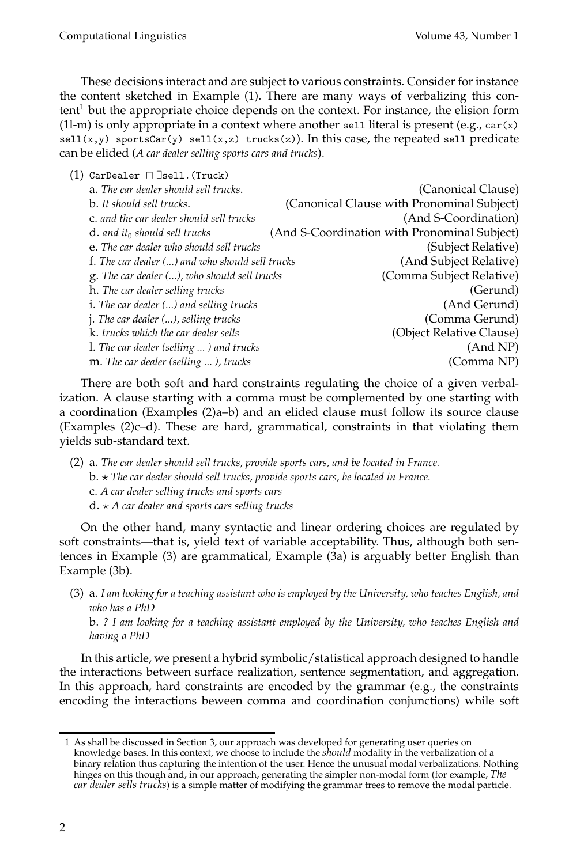These decisions interact and are subject to various constraints. Consider for instance the content sketched in Example (1). There are many ways of verbalizing this content<sup>1</sup> but the appropriate choice depends on the context. For instance, the elision form (1l-m) is only appropriate in a context where another sell literal is present (e.g.,  $\text{car}(x)$ ) sell(x,y) sportsCar(y) sell(x,z) trucks(z)). In this case, the repeated sell predicate can be elided (*A car dealer selling sports cars and trucks*).

| (1) | CarDealer $\sqcap \exists$ sell. (Truck)          |                                              |
|-----|---------------------------------------------------|----------------------------------------------|
|     | a. The car dealer should sell trucks.             | (Canonical Clause)                           |
|     | b. It should sell trucks.                         | (Canonical Clause with Pronominal Subject)   |
|     | c. and the car dealer should sell trucks          | (And S-Coordination)                         |
|     | $d.$ and it <sub>0</sub> should sell trucks       | (And S-Coordination with Pronominal Subject) |
|     | e. The car dealer who should sell trucks          | (Subject Relative)                           |
|     | f. The car dealer $()$ and who should sell trucks | (And Subject Relative)                       |
|     | g. The car dealer (), who should sell trucks      | (Comma Subject Relative)                     |
|     | h. The car dealer selling trucks                  | (Gerund)                                     |
|     | i. The car dealer () and selling trucks           | (And Gerund)                                 |
|     | $i$ . The car dealer $()$ , selling trucks        | (Comma Gerund)                               |
|     | k. trucks which the car dealer sells              | (Object Relative Clause)                     |
|     | 1. The car dealer (selling $\ldots$ ) and trucks  | (And NP)                                     |
|     | m. The car dealer (selling ), trucks              | (Comma NP)                                   |
|     |                                                   |                                              |

There are both soft and hard constraints regulating the choice of a given verbalization. A clause starting with a comma must be complemented by one starting with a coordination (Examples (2)a–b) and an elided clause must follow its source clause (Examples (2)c–d). These are hard, grammatical, constraints in that violating them yields sub-standard text.

(2) a. *The car dealer should sell trucks, provide sports cars, and be located in France.* b. ⋆ *The car dealer should sell trucks, provide sports cars, be located in France.* c. *A car dealer selling trucks and sports cars* d. ⋆ *A car dealer and sports cars selling trucks*

On the other hand, many syntactic and linear ordering choices are regulated by soft constraints—that is, yield text of variable acceptability. Thus, although both sentences in Example (3) are grammatical, Example (3a) is arguably better English than Example (3b).

(3) a. *I am looking for a teaching assistant who is employed by the University, who teaches English, and who has a PhD* b. *? I am looking for a teaching assistant employed by the University, who teaches English and having a PhD*

In this article, we present a hybrid symbolic/statistical approach designed to handle the interactions between surface realization, sentence segmentation, and aggregation. In this approach, hard constraints are encoded by the grammar (e.g., the constraints encoding the interactions beween comma and coordination conjunctions) while soft

<sup>1</sup> As shall be discussed in Section 3, our approach was developed for generating user queries on knowledge bases. In this context, we choose to include the *should* modality in the verbalization of a binary relation thus capturing the intention of the user. Hence the unusual modal verbalizations. Nothing hinges on this though and, in our approach, generating the simpler non-modal form (for example, *The car dealer sells trucks*) is a simple matter of modifying the grammar trees to remove the modal particle.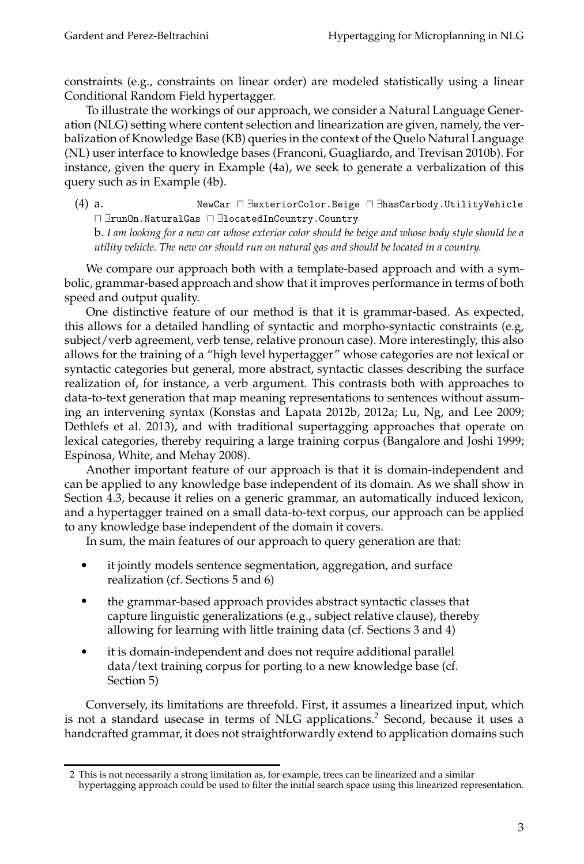constraints (e.g., constraints on linear order) are modeled statistically using a linear Conditional Random Field hypertagger.

To illustrate the workings of our approach, we consider a Natural Language Generation (NLG) setting where content selection and linearization are given, namely, the verbalization of Knowledge Base (KB) queries in the context of the Quelo Natural Language (NL) user interface to knowledge bases (Franconi, Guagliardo, and Trevisan 2010b). For instance, given the query in Example (4a), we seek to generate a verbalization of this query such as in Example (4b).

(4) a. NewCar ⊓ ∃exteriorColor.Beige ⊓ ∃hasCarbody.UtilityVehicle ⊓ ∃runOn.NaturalGas ⊓ ∃locatedInCountry.Country

b. *I am looking for a new car whose exterior color should be beige and whose body style should be a utility vehicle. The new car should run on natural gas and should be located in a country.*

We compare our approach both with a template-based approach and with a symbolic, grammar-based approach and show that it improves performance in terms of both speed and output quality.

One distinctive feature of our method is that it is grammar-based. As expected, this allows for a detailed handling of syntactic and morpho-syntactic constraints (e.g, subject/verb agreement, verb tense, relative pronoun case). More interestingly, this also allows for the training of a "high level hypertagger" whose categories are not lexical or syntactic categories but general, more abstract, syntactic classes describing the surface realization of, for instance, a verb argument. This contrasts both with approaches to data-to-text generation that map meaning representations to sentences without assuming an intervening syntax (Konstas and Lapata 2012b, 2012a; Lu, Ng, and Lee 2009; Dethlefs et al. 2013), and with traditional supertagging approaches that operate on lexical categories, thereby requiring a large training corpus (Bangalore and Joshi 1999; Espinosa, White, and Mehay 2008).

Another important feature of our approach is that it is domain-independent and can be applied to any knowledge base independent of its domain. As we shall show in Section 4.3, because it relies on a generic grammar, an automatically induced lexicon, and a hypertagger trained on a small data-to-text corpus, our approach can be applied to any knowledge base independent of the domain it covers.

In sum, the main features of our approach to query generation are that:

- r it jointly models sentence segmentation, aggregation, and surface realization (cf. Sections 5 and 6)
- $\bullet$ the grammar-based approach provides abstract syntactic classes that capture linguistic generalizations (e.g., subject relative clause), thereby allowing for learning with little training data (cf. Sections 3 and 4)
- $\bullet$ it is domain-independent and does not require additional parallel data/text training corpus for porting to a new knowledge base (cf. Section 5)

Conversely, its limitations are threefold. First, it assumes a linearized input, which is not a standard usecase in terms of NLG applications.<sup>2</sup> Second, because it uses a handcrafted grammar, it does not straightforwardly extend to application domains such

<sup>2</sup> This is not necessarily a strong limitation as, for example, trees can be linearized and a similar

hypertagging approach could be used to filter the initial search space using this linearized representation.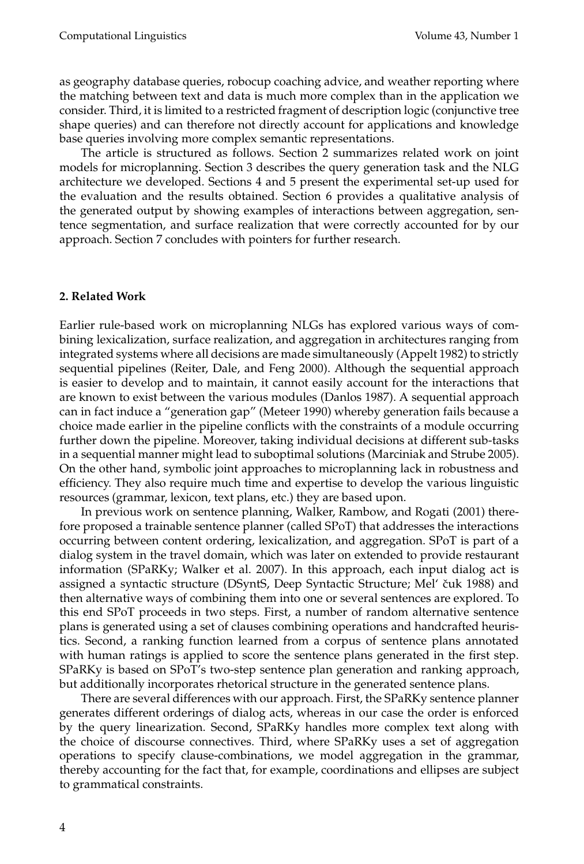as geography database queries, robocup coaching advice, and weather reporting where the matching between text and data is much more complex than in the application we consider. Third, it is limited to a restricted fragment of description logic (conjunctive tree shape queries) and can therefore not directly account for applications and knowledge base queries involving more complex semantic representations.

The article is structured as follows. Section 2 summarizes related work on joint models for microplanning. Section 3 describes the query generation task and the NLG architecture we developed. Sections 4 and 5 present the experimental set-up used for the evaluation and the results obtained. Section 6 provides a qualitative analysis of the generated output by showing examples of interactions between aggregation, sentence segmentation, and surface realization that were correctly accounted for by our approach. Section 7 concludes with pointers for further research.

#### **2. Related Work**

Earlier rule-based work on microplanning NLGs has explored various ways of combining lexicalization, surface realization, and aggregation in architectures ranging from integrated systems where all decisions are made simultaneously (Appelt 1982) to strictly sequential pipelines (Reiter, Dale, and Feng 2000). Although the sequential approach is easier to develop and to maintain, it cannot easily account for the interactions that are known to exist between the various modules (Danlos 1987). A sequential approach can in fact induce a "generation gap" (Meteer 1990) whereby generation fails because a choice made earlier in the pipeline conflicts with the constraints of a module occurring further down the pipeline. Moreover, taking individual decisions at different sub-tasks in a sequential manner might lead to suboptimal solutions (Marciniak and Strube 2005). On the other hand, symbolic joint approaches to microplanning lack in robustness and efficiency. They also require much time and expertise to develop the various linguistic resources (grammar, lexicon, text plans, etc.) they are based upon.

In previous work on sentence planning, Walker, Rambow, and Rogati (2001) therefore proposed a trainable sentence planner (called SPoT) that addresses the interactions occurring between content ordering, lexicalization, and aggregation. SPoT is part of a dialog system in the travel domain, which was later on extended to provide restaurant information (SPaRKy; Walker et al. 2007). In this approach, each input dialog act is assigned a syntactic structure (DSyntS, Deep Syntactic Structure; Mel' ˇcuk 1988) and then alternative ways of combining them into one or several sentences are explored. To this end SPoT proceeds in two steps. First, a number of random alternative sentence plans is generated using a set of clauses combining operations and handcrafted heuristics. Second, a ranking function learned from a corpus of sentence plans annotated with human ratings is applied to score the sentence plans generated in the first step. SPaRKy is based on SPoT's two-step sentence plan generation and ranking approach, but additionally incorporates rhetorical structure in the generated sentence plans.

There are several differences with our approach. First, the SPaRKy sentence planner generates different orderings of dialog acts, whereas in our case the order is enforced by the query linearization. Second, SPaRKy handles more complex text along with the choice of discourse connectives. Third, where SPaRKy uses a set of aggregation operations to specify clause-combinations, we model aggregation in the grammar, thereby accounting for the fact that, for example, coordinations and ellipses are subject to grammatical constraints.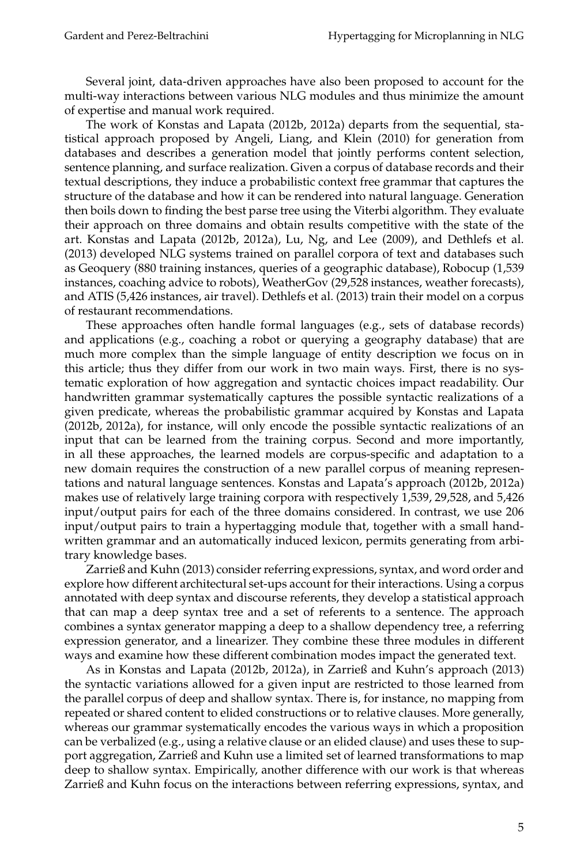Several joint, data-driven approaches have also been proposed to account for the multi-way interactions between various NLG modules and thus minimize the amount of expertise and manual work required.

The work of Konstas and Lapata (2012b, 2012a) departs from the sequential, statistical approach proposed by Angeli, Liang, and Klein (2010) for generation from databases and describes a generation model that jointly performs content selection, sentence planning, and surface realization. Given a corpus of database records and their textual descriptions, they induce a probabilistic context free grammar that captures the structure of the database and how it can be rendered into natural language. Generation then boils down to finding the best parse tree using the Viterbi algorithm. They evaluate their approach on three domains and obtain results competitive with the state of the art. Konstas and Lapata (2012b, 2012a), Lu, Ng, and Lee (2009), and Dethlefs et al. (2013) developed NLG systems trained on parallel corpora of text and databases such as Geoquery (880 training instances, queries of a geographic database), Robocup (1,539 instances, coaching advice to robots), WeatherGov (29,528 instances, weather forecasts), and ATIS (5,426 instances, air travel). Dethlefs et al. (2013) train their model on a corpus of restaurant recommendations.

These approaches often handle formal languages (e.g., sets of database records) and applications (e.g., coaching a robot or querying a geography database) that are much more complex than the simple language of entity description we focus on in this article; thus they differ from our work in two main ways. First, there is no systematic exploration of how aggregation and syntactic choices impact readability. Our handwritten grammar systematically captures the possible syntactic realizations of a given predicate, whereas the probabilistic grammar acquired by Konstas and Lapata (2012b, 2012a), for instance, will only encode the possible syntactic realizations of an input that can be learned from the training corpus. Second and more importantly, in all these approaches, the learned models are corpus-specific and adaptation to a new domain requires the construction of a new parallel corpus of meaning representations and natural language sentences. Konstas and Lapata's approach (2012b, 2012a) makes use of relatively large training corpora with respectively 1,539, 29,528, and 5,426 input/output pairs for each of the three domains considered. In contrast, we use 206 input/output pairs to train a hypertagging module that, together with a small handwritten grammar and an automatically induced lexicon, permits generating from arbitrary knowledge bases.

Zarrieß and Kuhn (2013) consider referring expressions, syntax, and word order and explore how different architectural set-ups account for their interactions. Using a corpus annotated with deep syntax and discourse referents, they develop a statistical approach that can map a deep syntax tree and a set of referents to a sentence. The approach combines a syntax generator mapping a deep to a shallow dependency tree, a referring expression generator, and a linearizer. They combine these three modules in different ways and examine how these different combination modes impact the generated text.

As in Konstas and Lapata (2012b, 2012a), in Zarrieß and Kuhn's approach (2013) the syntactic variations allowed for a given input are restricted to those learned from the parallel corpus of deep and shallow syntax. There is, for instance, no mapping from repeated or shared content to elided constructions or to relative clauses. More generally, whereas our grammar systematically encodes the various ways in which a proposition can be verbalized (e.g., using a relative clause or an elided clause) and uses these to support aggregation, Zarrieß and Kuhn use a limited set of learned transformations to map deep to shallow syntax. Empirically, another difference with our work is that whereas Zarrieß and Kuhn focus on the interactions between referring expressions, syntax, and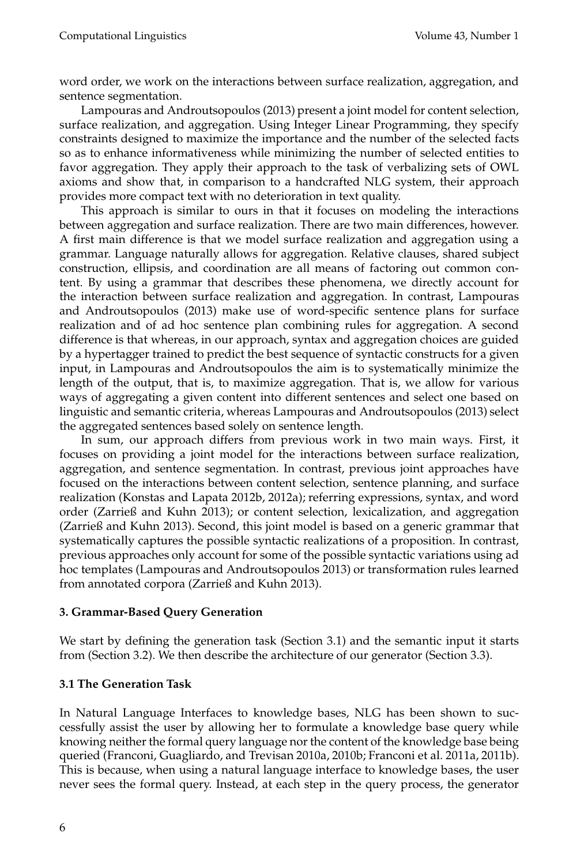word order, we work on the interactions between surface realization, aggregation, and sentence segmentation.

Lampouras and Androutsopoulos (2013) present a joint model for content selection, surface realization, and aggregation. Using Integer Linear Programming, they specify constraints designed to maximize the importance and the number of the selected facts so as to enhance informativeness while minimizing the number of selected entities to favor aggregation. They apply their approach to the task of verbalizing sets of OWL axioms and show that, in comparison to a handcrafted NLG system, their approach provides more compact text with no deterioration in text quality.

This approach is similar to ours in that it focuses on modeling the interactions between aggregation and surface realization. There are two main differences, however. A first main difference is that we model surface realization and aggregation using a grammar. Language naturally allows for aggregation. Relative clauses, shared subject construction, ellipsis, and coordination are all means of factoring out common content. By using a grammar that describes these phenomena, we directly account for the interaction between surface realization and aggregation. In contrast, Lampouras and Androutsopoulos (2013) make use of word-specific sentence plans for surface realization and of ad hoc sentence plan combining rules for aggregation. A second difference is that whereas, in our approach, syntax and aggregation choices are guided by a hypertagger trained to predict the best sequence of syntactic constructs for a given input, in Lampouras and Androutsopoulos the aim is to systematically minimize the length of the output, that is, to maximize aggregation. That is, we allow for various ways of aggregating a given content into different sentences and select one based on linguistic and semantic criteria, whereas Lampouras and Androutsopoulos (2013) select the aggregated sentences based solely on sentence length.

In sum, our approach differs from previous work in two main ways. First, it focuses on providing a joint model for the interactions between surface realization, aggregation, and sentence segmentation. In contrast, previous joint approaches have focused on the interactions between content selection, sentence planning, and surface realization (Konstas and Lapata 2012b, 2012a); referring expressions, syntax, and word order (Zarrieß and Kuhn 2013); or content selection, lexicalization, and aggregation (Zarrieß and Kuhn 2013). Second, this joint model is based on a generic grammar that systematically captures the possible syntactic realizations of a proposition. In contrast, previous approaches only account for some of the possible syntactic variations using ad hoc templates (Lampouras and Androutsopoulos 2013) or transformation rules learned from annotated corpora (Zarrieß and Kuhn 2013).

### **3. Grammar-Based Query Generation**

We start by defining the generation task (Section 3.1) and the semantic input it starts from (Section 3.2). We then describe the architecture of our generator (Section 3.3).

### **3.1 The Generation Task**

In Natural Language Interfaces to knowledge bases, NLG has been shown to successfully assist the user by allowing her to formulate a knowledge base query while knowing neither the formal query language nor the content of the knowledge base being queried (Franconi, Guagliardo, and Trevisan 2010a, 2010b; Franconi et al. 2011a, 2011b). This is because, when using a natural language interface to knowledge bases, the user never sees the formal query. Instead, at each step in the query process, the generator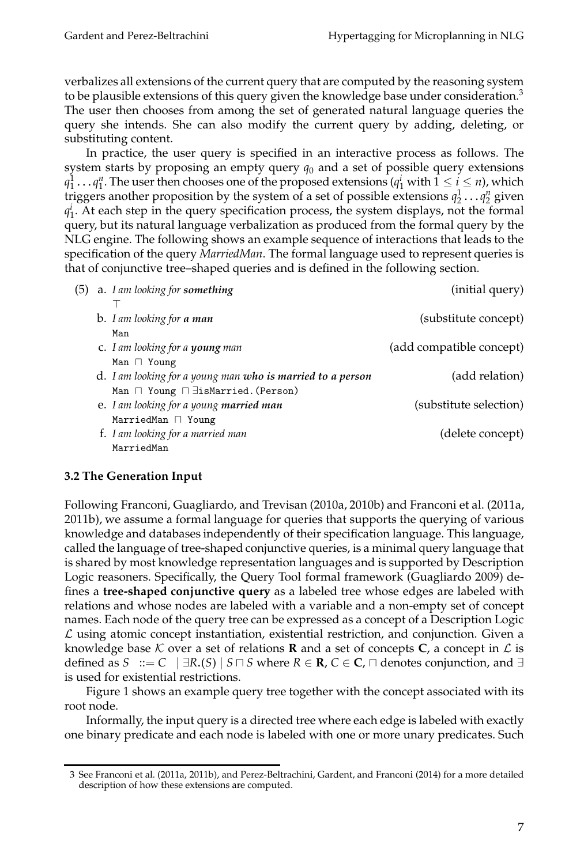verbalizes all extensions of the current query that are computed by the reasoning system to be plausible extensions of this query given the knowledge base under consideration.<sup>3</sup> The user then chooses from among the set of generated natural language queries the query she intends. She can also modify the current query by adding, deleting, or substituting content.

In practice, the user query is specified in an interactive process as follows. The system starts by proposing an empty query  $q_0$  and a set of possible query extensions  $q_1^1 \ldots q_1^n$ . The user then chooses one of the proposed extensions  $(q_1^i$  with  $1 \leq i \leq n$ ), which triggers another proposition by the system of a set of possible extensions  $q_2^1 \ldots q_2^n$  given  $q_1^i$ . At each step in the query specification process, the system displays, not the formal query, but its natural language verbalization as produced from the formal query by the NLG engine. The following shows an example sequence of interactions that leads to the specification of the query *MarriedMan*. The formal language used to represent queries is that of conjunctive tree–shaped queries and is defined in the following section.

| (initial query)          | (5) a. I am looking for <b>something</b>                   |  |
|--------------------------|------------------------------------------------------------|--|
|                          |                                                            |  |
| (substitute concept)     | b. I am looking for <b>a man</b><br>Man                    |  |
| (add compatible concept) | c. I am looking for a <b>young</b> man                     |  |
|                          | Man $\Box$ Young                                           |  |
| (add relation)           | d. I am looking for a young man who is married to a person |  |
|                          | Man $\sqcap$ Young $\sqcap \exists$ isMarried. (Person)    |  |
| (substitute selection)   | e. I am looking for a young married man                    |  |
|                          | MarriedMan $\sqcap$ Young                                  |  |
| (delete concept)         | f. I am looking for a married man                          |  |
|                          | MarriedMan                                                 |  |

# **3.2 The Generation Input**

Following Franconi, Guagliardo, and Trevisan (2010a, 2010b) and Franconi et al. (2011a, 2011b), we assume a formal language for queries that supports the querying of various knowledge and databases independently of their specification language. This language, called the language of tree-shaped conjunctive queries, is a minimal query language that is shared by most knowledge representation languages and is supported by Description Logic reasoners. Specifically, the Query Tool formal framework (Guagliardo 2009) defines a **tree-shaped conjunctive query** as a labeled tree whose edges are labeled with relations and whose nodes are labeled with a variable and a non-empty set of concept names. Each node of the query tree can be expressed as a concept of a Description Logic  $\mathcal L$  using atomic concept instantiation, existential restriction, and conjunction. Given a knowledge base K over a set of relations **R** and a set of concepts **C**, a concept in  $\mathcal{L}$  is defined as *S* ::= *C* | ∃*R*.(*S*) | *S*  $\Box$  *S* where *R* ∈ **R**, *C* ∈ **C**,  $\Box$  denotes conjunction, and  $\exists$ is used for existential restrictions.

Figure 1 shows an example query tree together with the concept associated with its root node.

Informally, the input query is a directed tree where each edge is labeled with exactly one binary predicate and each node is labeled with one or more unary predicates. Such

<sup>3</sup> See Franconi et al. (2011a, 2011b), and Perez-Beltrachini, Gardent, and Franconi (2014) for a more detailed description of how these extensions are computed.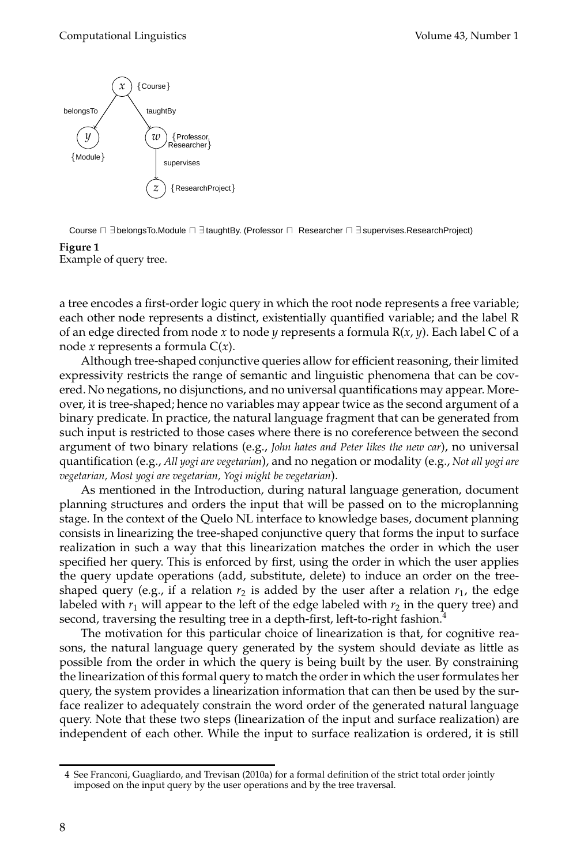#### Computational Linguistics Volume 43, Number 1



Course ⊓ ∃ belongsTo.Module ⊓ ∃ taughtBy. (Professor ⊓ Researcher ⊓ ∃ supervises.ResearchProject)

#### **Figure 1**

Example of query tree.

a tree encodes a first-order logic query in which the root node represents a free variable; each other node represents a distinct, existentially quantified variable; and the label R of an edge directed from node *x* to node *y* represents a formula R(*x*, *y*). Each label C of a node *x* represents a formula C(*x*).

Although tree-shaped conjunctive queries allow for efficient reasoning, their limited expressivity restricts the range of semantic and linguistic phenomena that can be covered. No negations, no disjunctions, and no universal quantifications may appear. Moreover, it is tree-shaped; hence no variables may appear twice as the second argument of a binary predicate. In practice, the natural language fragment that can be generated from such input is restricted to those cases where there is no coreference between the second argument of two binary relations (e.g., *John hates and Peter likes the new car*), no universal quantification (e.g., *All yogi are vegetarian*), and no negation or modality (e.g., *Not all yogi are vegetarian, Most yogi are vegetarian, Yogi might be vegetarian*).

As mentioned in the Introduction, during natural language generation, document planning structures and orders the input that will be passed on to the microplanning stage. In the context of the Quelo NL interface to knowledge bases, document planning consists in linearizing the tree-shaped conjunctive query that forms the input to surface realization in such a way that this linearization matches the order in which the user specified her query. This is enforced by first, using the order in which the user applies the query update operations (add, substitute, delete) to induce an order on the treeshaped query (e.g., if a relation  $r_2$  is added by the user after a relation  $r_1$ , the edge labeled with  $r_1$  will appear to the left of the edge labeled with  $r_2$  in the query tree) and second, traversing the resulting tree in a depth-first, left-to-right fashion.<sup>4</sup>

The motivation for this particular choice of linearization is that, for cognitive reasons, the natural language query generated by the system should deviate as little as possible from the order in which the query is being built by the user. By constraining the linearization of this formal query to match the order in which the user formulates her query, the system provides a linearization information that can then be used by the surface realizer to adequately constrain the word order of the generated natural language query. Note that these two steps (linearization of the input and surface realization) are independent of each other. While the input to surface realization is ordered, it is still

<sup>4</sup> See Franconi, Guagliardo, and Trevisan (2010a) for a formal definition of the strict total order jointly imposed on the input query by the user operations and by the tree traversal.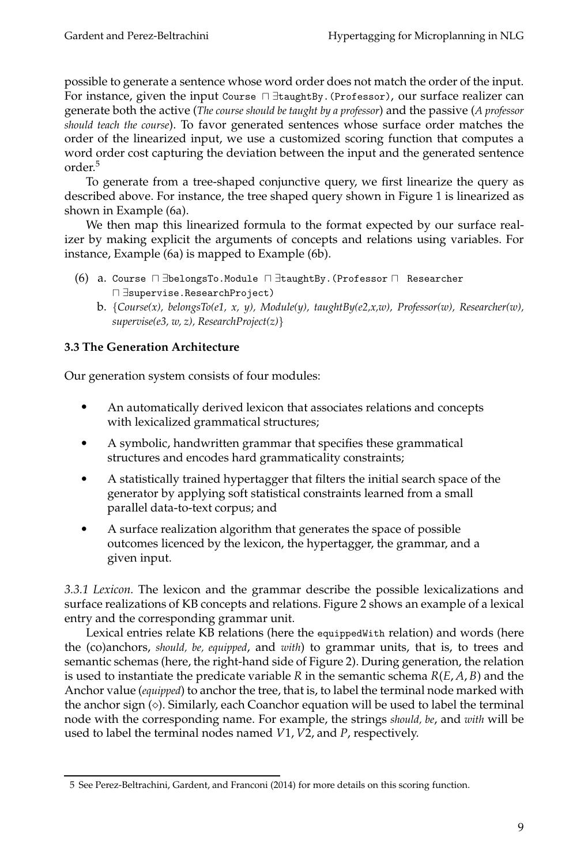possible to generate a sentence whose word order does not match the order of the input. For instance, given the input Course ⊓ ∃taughtBy.(Professor), our surface realizer can generate both the active (*The course should be taught by a professor*) and the passive (*A professor should teach the course*). To favor generated sentences whose surface order matches the order of the linearized input, we use a customized scoring function that computes a word order cost capturing the deviation between the input and the generated sentence order.<sup>5</sup>

To generate from a tree-shaped conjunctive query, we first linearize the query as described above. For instance, the tree shaped query shown in Figure 1 is linearized as shown in Example (6a).

We then map this linearized formula to the format expected by our surface realizer by making explicit the arguments of concepts and relations using variables. For instance, Example (6a) is mapped to Example (6b).

- (6) a. Course ⊓ ∃belongsTo.Module ⊓ ∃taughtBy.(Professor ⊓ Researcher ⊓ ∃supervise.ResearchProject)
	- b. {*Course(x), belongsTo(e1, x, y), Module(y), taughtBy(e2,x,w), Professor(w), Researcher(w), supervise(e3, w, z), ResearchProject(z)*}

# **3.3 The Generation Architecture**

Our generation system consists of four modules:

- An automatically derived lexicon that associates relations and concepts with lexicalized grammatical structures;
- A symbolic, handwritten grammar that specifies these grammatical structures and encodes hard grammaticality constraints;
- A statistically trained hypertagger that filters the initial search space of the generator by applying soft statistical constraints learned from a small parallel data-to-text corpus; and
- A surface realization algorithm that generates the space of possible outcomes licenced by the lexicon, the hypertagger, the grammar, and a given input.

*3.3.1 Lexicon.* The lexicon and the grammar describe the possible lexicalizations and surface realizations of KB concepts and relations. Figure 2 shows an example of a lexical entry and the corresponding grammar unit.

Lexical entries relate KB relations (here the equippedWith relation) and words (here the (co)anchors, *should, be, equipped*, and *with*) to grammar units, that is, to trees and semantic schemas (here, the right-hand side of Figure 2). During generation, the relation is used to instantiate the predicate variable *R* in the semantic schema *R*(*E*, *A*, *B*) and the Anchor value (*equipped*) to anchor the tree, that is, to label the terminal node marked with the anchor sign  $(\diamond)$ . Similarly, each Coanchor equation will be used to label the terminal node with the corresponding name. For example, the strings *should, be*, and *with* will be used to label the terminal nodes named *V*1, *V*2, and *P*, respectively.

<sup>5</sup> See Perez-Beltrachini, Gardent, and Franconi (2014) for more details on this scoring function.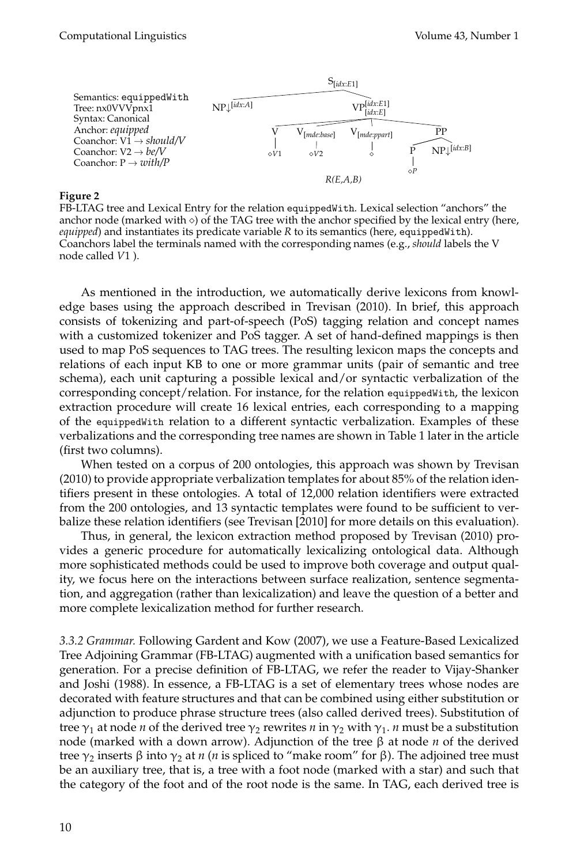

#### **Figure 2**

FB-LTAG tree and Lexical Entry for the relation equippedWith. Lexical selection "anchors" the anchor node (marked with  $\diamond$ ) of the TAG tree with the anchor specified by the lexical entry (here, *equipped*) and instantiates its predicate variable *R* to its semantics (here, equippedWith). Coanchors label the terminals named with the corresponding names (e.g., *should* labels the V node called *V*1 ).

As mentioned in the introduction, we automatically derive lexicons from knowledge bases using the approach described in Trevisan (2010). In brief, this approach consists of tokenizing and part-of-speech (PoS) tagging relation and concept names with a customized tokenizer and PoS tagger. A set of hand-defined mappings is then used to map PoS sequences to TAG trees. The resulting lexicon maps the concepts and relations of each input KB to one or more grammar units (pair of semantic and tree schema), each unit capturing a possible lexical and/or syntactic verbalization of the corresponding concept/relation. For instance, for the relation equippedWith, the lexicon extraction procedure will create 16 lexical entries, each corresponding to a mapping of the equippedWith relation to a different syntactic verbalization. Examples of these verbalizations and the corresponding tree names are shown in Table 1 later in the article (first two columns).

When tested on a corpus of 200 ontologies, this approach was shown by Trevisan (2010) to provide appropriate verbalization templates for about 85% of the relation identifiers present in these ontologies. A total of 12,000 relation identifiers were extracted from the 200 ontologies, and 13 syntactic templates were found to be sufficient to verbalize these relation identifiers (see Trevisan [2010] for more details on this evaluation).

Thus, in general, the lexicon extraction method proposed by Trevisan (2010) provides a generic procedure for automatically lexicalizing ontological data. Although more sophisticated methods could be used to improve both coverage and output quality, we focus here on the interactions between surface realization, sentence segmentation, and aggregation (rather than lexicalization) and leave the question of a better and more complete lexicalization method for further research.

*3.3.2 Grammar.* Following Gardent and Kow (2007), we use a Feature-Based Lexicalized Tree Adjoining Grammar (FB-LTAG) augmented with a unification based semantics for generation. For a precise definition of FB-LTAG, we refer the reader to Vijay-Shanker and Joshi (1988). In essence, a FB-LTAG is a set of elementary trees whose nodes are decorated with feature structures and that can be combined using either substitution or adjunction to produce phrase structure trees (also called derived trees). Substitution of tree  $\gamma_1$  at node *n* of the derived tree  $\gamma_2$  rewrites *n* in  $\gamma_2$  with  $\gamma_1$ . *n* must be a substitution node (marked with a down arrow). Adjunction of the tree β at node *n* of the derived tree  $γ$ <sub>2</sub> inserts β into  $γ$ <sub>2</sub> at *n* (*n* is spliced to "make room" for β). The adjoined tree must be an auxiliary tree, that is, a tree with a foot node (marked with a star) and such that the category of the foot and of the root node is the same. In TAG, each derived tree is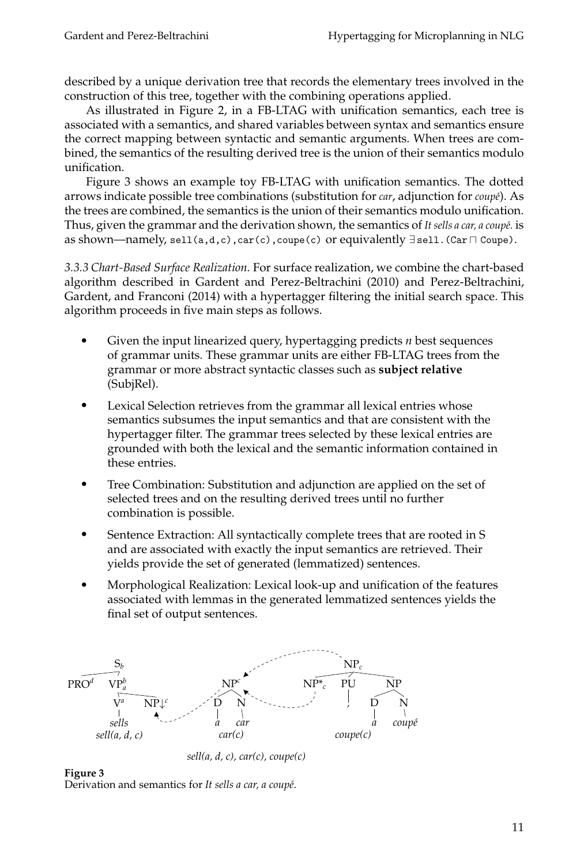described by a unique derivation tree that records the elementary trees involved in the construction of this tree, together with the combining operations applied.

As illustrated in Figure 2, in a FB-LTAG with unification semantics, each tree is associated with a semantics, and shared variables between syntax and semantics ensure the correct mapping between syntactic and semantic arguments. When trees are combined, the semantics of the resulting derived tree is the union of their semantics modulo unification.

Figure 3 shows an example toy FB-LTAG with unification semantics. The dotted arrows indicate possible tree combinations (substitution for *car*, adjunction for *coupé*). As the trees are combined, the semantics is the union of their semantics modulo unification. Thus, given the grammar and the derivation shown, the semantics of *It sells a car, a coupé*. is as shown—namely,  $self(a,d,c)$ , car(c), coupe(c) or equivalently  $\exists$  sell.(Car  $\sqcap$  Coupe).

*3.3.3 Chart-Based Surface Realization.* For surface realization, we combine the chart-based algorithm described in Gardent and Perez-Beltrachini (2010) and Perez-Beltrachini, Gardent, and Franconi (2014) with a hypertagger filtering the initial search space. This algorithm proceeds in five main steps as follows.

- Given the input linearized query, hypertagging predicts *n* best sequences of grammar units. These grammar units are either FB-LTAG trees from the grammar or more abstract syntactic classes such as **subject relative** (SubjRel).
- Lexical Selection retrieves from the grammar all lexical entries whose semantics subsumes the input semantics and that are consistent with the hypertagger filter. The grammar trees selected by these lexical entries are grounded with both the lexical and the semantic information contained in these entries.
- Tree Combination: Substitution and adjunction are applied on the set of selected trees and on the resulting derived trees until no further combination is possible.
- Sentence Extraction: All syntactically complete trees that are rooted in S and are associated with exactly the input semantics are retrieved. Their yields provide the set of generated (lemmatized) sentences.
- Morphological Realization: Lexical look-up and unification of the features associated with lemmas in the generated lemmatized sentences yields the final set of output sentences.



*sell(a, d, c), car(c), coupe(c)*

**Figure 3**

Derivation and semantics for *It sells a car, a coupé*.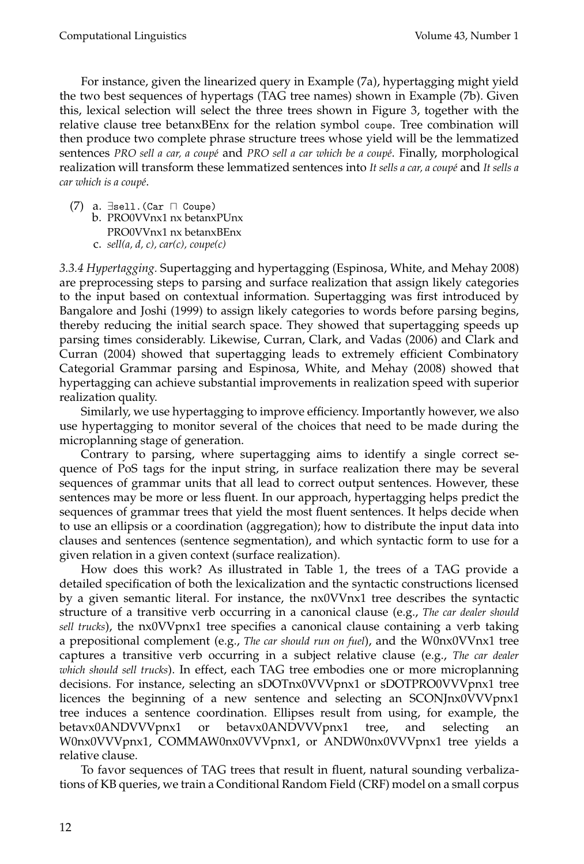For instance, given the linearized query in Example (7a), hypertagging might yield the two best sequences of hypertags (TAG tree names) shown in Example (7b). Given this, lexical selection will select the three trees shown in Figure 3, together with the relative clause tree betanxBEnx for the relation symbol coupe. Tree combination will then produce two complete phrase structure trees whose yield will be the lemmatized sentences *PRO sell a car, a coupé* and *PRO sell a car which be a coupé*. Finally, morphological realization will transform these lemmatized sentences into *It sells a car, a coupé* and *It sells a car which is a coup´e*.

(7) a. ∃sell.(Car ⊓ Coupe) b. PRO0VVnx1 nx betanxPUnx PRO0VVnx1 nx betanxBEnx c. *sell(a, d, c), car(c), coupe(c)*

*3.3.4 Hypertagging.* Supertagging and hypertagging (Espinosa, White, and Mehay 2008) are preprocessing steps to parsing and surface realization that assign likely categories to the input based on contextual information. Supertagging was first introduced by Bangalore and Joshi (1999) to assign likely categories to words before parsing begins, thereby reducing the initial search space. They showed that supertagging speeds up parsing times considerably. Likewise, Curran, Clark, and Vadas (2006) and Clark and Curran (2004) showed that supertagging leads to extremely efficient Combinatory Categorial Grammar parsing and Espinosa, White, and Mehay (2008) showed that hypertagging can achieve substantial improvements in realization speed with superior realization quality.

Similarly, we use hypertagging to improve efficiency. Importantly however, we also use hypertagging to monitor several of the choices that need to be made during the microplanning stage of generation.

Contrary to parsing, where supertagging aims to identify a single correct sequence of PoS tags for the input string, in surface realization there may be several sequences of grammar units that all lead to correct output sentences. However, these sentences may be more or less fluent. In our approach, hypertagging helps predict the sequences of grammar trees that yield the most fluent sentences. It helps decide when to use an ellipsis or a coordination (aggregation); how to distribute the input data into clauses and sentences (sentence segmentation), and which syntactic form to use for a given relation in a given context (surface realization).

How does this work? As illustrated in Table 1, the trees of a TAG provide a detailed specification of both the lexicalization and the syntactic constructions licensed by a given semantic literal. For instance, the nx0VVnx1 tree describes the syntactic structure of a transitive verb occurring in a canonical clause (e.g., *The car dealer should sell trucks*), the nx0VVpnx1 tree specifies a canonical clause containing a verb taking a prepositional complement (e.g., *The car should run on fuel*), and the W0nx0VVnx1 tree captures a transitive verb occurring in a subject relative clause (e.g., *The car dealer which should sell trucks*). In effect, each TAG tree embodies one or more microplanning decisions. For instance, selecting an sDOTnx0VVVpnx1 or sDOTPRO0VVVpnx1 tree licences the beginning of a new sentence and selecting an SCONJnx0VVVpnx1 tree induces a sentence coordination. Ellipses result from using, for example, the betavx0ANDVVVpnx1 or betavx0ANDVVVpnx1 tree, and selecting an W0nx0VVVpnx1, COMMAW0nx0VVVpnx1, or ANDW0nx0VVVpnx1 tree yields a relative clause.

To favor sequences of TAG trees that result in fluent, natural sounding verbalizations of KB queries, we train a Conditional Random Field (CRF) model on a small corpus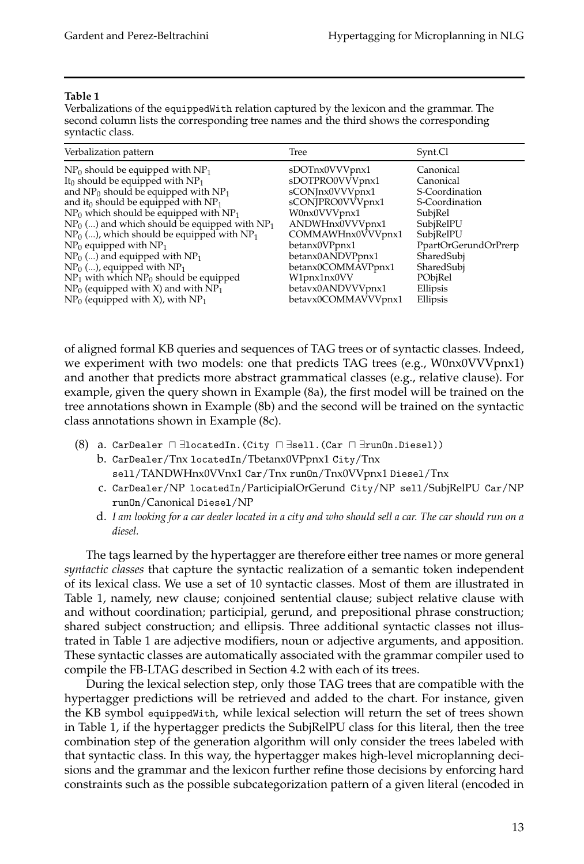#### **Table 1**

Verbalizations of the equippedWith relation captured by the lexicon and the grammar. The second column lists the corresponding tree names and the third shows the corresponding syntactic class.

| $NP_0$ should be equipped with $NP_1$<br>Canonical<br>sDOTnx0VVVpnx1<br>It <sub>0</sub> should be equipped with $NP_1$<br>sDOTPRO0VVVpnx1<br>Canonical<br>and $NP_0$ should be equipped with $NP_1$<br>sCONJnx0VVVpnx1<br>S-Coordination<br>sCONJPRO0VVVpnx1<br>and it <sub>0</sub> should be equipped with $NP_1$<br>S-Coordination<br>$NP_0$ which should be equipped with $NP_1$<br>W0nx0VVVpnx1<br>SubjRel<br>$NP_0$ () and which should be equipped with $NP_1$<br>ANDWHnx0VVVpnx1<br>SubjRelPU<br>COMMAWHnx0VVVpnx1 | Verbalization pattern                           | Synt.Cl                           |  |
|---------------------------------------------------------------------------------------------------------------------------------------------------------------------------------------------------------------------------------------------------------------------------------------------------------------------------------------------------------------------------------------------------------------------------------------------------------------------------------------------------------------------------|-------------------------------------------------|-----------------------------------|--|
| $NP_0$ equipped with $NP_1$<br>betanx0VPpnx1<br>$NP_0$ () and equipped with $NP_1$<br>SharedSubj<br>betanx0ANDVPpnx1<br>$NP_0$ (), equipped with $NP_1$<br>betanx0COMMAVPpnx1<br>SharedSubj<br>$NP_1$ with which $NP_0$ should be equipped<br>PObjRel<br>W1pnx1nx0VV<br>$NP_0$ (equipped with X) and with $NP_1$<br>betavx0ANDVVVpnx1<br>Ellipsis<br>$NP_0$ (equipped with X), with $NP_1$<br>betavx0COMMAVVVpnx1<br>Ellipsis                                                                                             | $NP_0$ (), which should be equipped with $NP_1$ | SubjRelPU<br>PpartOrGerundOrPrerp |  |

of aligned formal KB queries and sequences of TAG trees or of syntactic classes. Indeed, we experiment with two models: one that predicts TAG trees (e.g., W0nx0VVVpnx1) and another that predicts more abstract grammatical classes (e.g., relative clause). For example, given the query shown in Example (8a), the first model will be trained on the tree annotations shown in Example (8b) and the second will be trained on the syntactic class annotations shown in Example (8c).

- (8) a. CarDealer ⊓ ∃locatedIn.(City ⊓ ∃sell.(Car ⊓ ∃runOn.Diesel))
	- b. CarDealer/Tnx locatedIn/Tbetanx0VPpnx1 City/Tnx sell/TANDWHnx0VVnx1 Car/Tnx runOn/Tnx0VVpnx1 Diesel/Tnx
	- c. CarDealer/NP locatedIn/ParticipialOrGerund City/NP sell/SubjRelPU Car/NP runOn/Canonical Diesel/NP
	- d. *I am looking for a car dealer located in a city and who should sell a car. The car should run on a diesel.*

The tags learned by the hypertagger are therefore either tree names or more general *syntactic classes* that capture the syntactic realization of a semantic token independent of its lexical class. We use a set of 10 syntactic classes. Most of them are illustrated in Table 1, namely, new clause; conjoined sentential clause; subject relative clause with and without coordination; participial, gerund, and prepositional phrase construction; shared subject construction; and ellipsis. Three additional syntactic classes not illustrated in Table 1 are adjective modifiers, noun or adjective arguments, and apposition. These syntactic classes are automatically associated with the grammar compiler used to compile the FB-LTAG described in Section 4.2 with each of its trees.

During the lexical selection step, only those TAG trees that are compatible with the hypertagger predictions will be retrieved and added to the chart. For instance, given the KB symbol equippedWith, while lexical selection will return the set of trees shown in Table 1, if the hypertagger predicts the SubjRelPU class for this literal, then the tree combination step of the generation algorithm will only consider the trees labeled with that syntactic class. In this way, the hypertagger makes high-level microplanning decisions and the grammar and the lexicon further refine those decisions by enforcing hard constraints such as the possible subcategorization pattern of a given literal (encoded in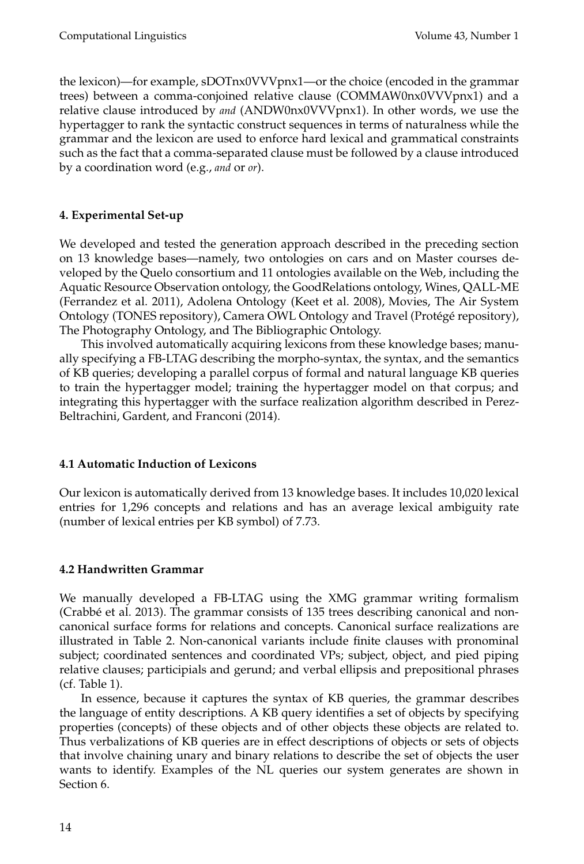the lexicon)—for example, sDOTnx0VVVpnx1—or the choice (encoded in the grammar trees) between a comma-conjoined relative clause (COMMAW0nx0VVVpnx1) and a relative clause introduced by *and* (ANDW0nx0VVVpnx1). In other words, we use the hypertagger to rank the syntactic construct sequences in terms of naturalness while the grammar and the lexicon are used to enforce hard lexical and grammatical constraints such as the fact that a comma-separated clause must be followed by a clause introduced by a coordination word (e.g., *and* or *or*).

# **4. Experimental Set-up**

We developed and tested the generation approach described in the preceding section on 13 knowledge bases—namely, two ontologies on cars and on Master courses developed by the Quelo consortium and 11 ontologies available on the Web, including the Aquatic Resource Observation ontology, the GoodRelations ontology, Wines, QALL-ME (Ferrandez et al. 2011), Adolena Ontology (Keet et al. 2008), Movies, The Air System Ontology (TONES repository), Camera OWL Ontology and Travel (Protégé repository), The Photography Ontology, and The Bibliographic Ontology.

This involved automatically acquiring lexicons from these knowledge bases; manually specifying a FB-LTAG describing the morpho-syntax, the syntax, and the semantics of KB queries; developing a parallel corpus of formal and natural language KB queries to train the hypertagger model; training the hypertagger model on that corpus; and integrating this hypertagger with the surface realization algorithm described in Perez-Beltrachini, Gardent, and Franconi (2014).

# **4.1 Automatic Induction of Lexicons**

Our lexicon is automatically derived from 13 knowledge bases. It includes 10,020 lexical entries for 1,296 concepts and relations and has an average lexical ambiguity rate (number of lexical entries per KB symbol) of 7.73.

# **4.2 Handwritten Grammar**

We manually developed a FB-LTAG using the XMG grammar writing formalism (Crabb´e et al. 2013). The grammar consists of 135 trees describing canonical and noncanonical surface forms for relations and concepts. Canonical surface realizations are illustrated in Table 2. Non-canonical variants include finite clauses with pronominal subject; coordinated sentences and coordinated VPs; subject, object, and pied piping relative clauses; participials and gerund; and verbal ellipsis and prepositional phrases (cf. Table 1).

In essence, because it captures the syntax of KB queries, the grammar describes the language of entity descriptions. A KB query identifies a set of objects by specifying properties (concepts) of these objects and of other objects these objects are related to. Thus verbalizations of KB queries are in effect descriptions of objects or sets of objects that involve chaining unary and binary relations to describe the set of objects the user wants to identify. Examples of the NL queries our system generates are shown in Section 6.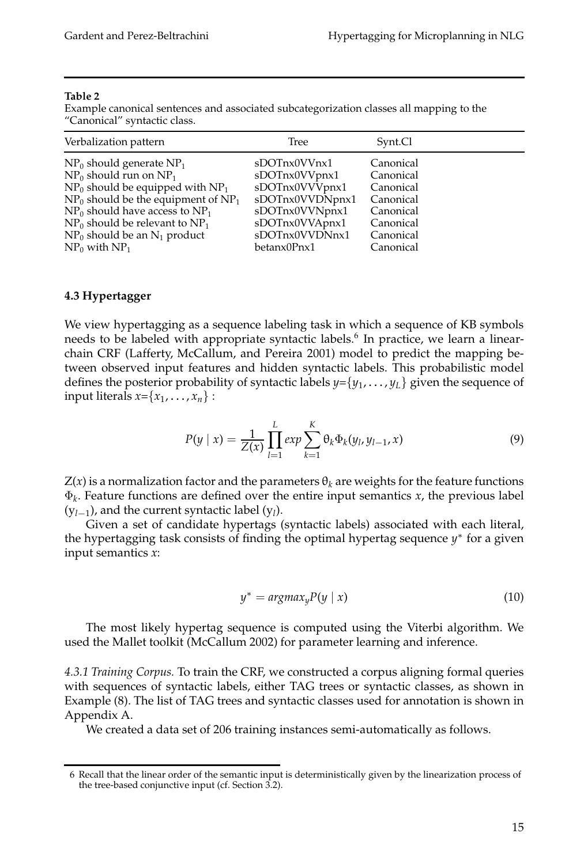#### **Table 2**

Example canonical sentences and associated subcategorization classes all mapping to the "Canonical" syntactic class.

| Verbalization pattern                                                                                                                                                                                                                                                                      | Tree                                                                                                                                    | Synt.Cl                                                                                              |
|--------------------------------------------------------------------------------------------------------------------------------------------------------------------------------------------------------------------------------------------------------------------------------------------|-----------------------------------------------------------------------------------------------------------------------------------------|------------------------------------------------------------------------------------------------------|
| $NP_0$ should generate $NP_1$<br>$NP_0$ should run on $NP_1$<br>$NP_0$ should be equipped with $NP_1$<br>$NP_0$ should be the equipment of $NP_1$<br>$NP_0$ should have access to $NP_1$<br>$NP_0$ should be relevant to $NP_1$<br>$NP_0$ should be an $N_1$ product<br>$NP_0$ with $NP_1$ | sDOTnx0VVnx1<br>sDOTnx0VVpnx1<br>sDOTnx0VVVpnx1<br>sDOTnx0VVDNpnx1<br>sDOTnx0VVNpnx1<br>sDOTnx0VVApnx1<br>sDOTnx0VVDNnx1<br>betanx0Pnx1 | Canonical<br>Canonical<br>Canonical<br>Canonical<br>Canonical<br>Canonical<br>Canonical<br>Canonical |
|                                                                                                                                                                                                                                                                                            |                                                                                                                                         |                                                                                                      |

#### **4.3 Hypertagger**

We view hypertagging as a sequence labeling task in which a sequence of KB symbols needs to be labeled with appropriate syntactic labels.<sup>6</sup> In practice, we learn a linearchain CRF (Lafferty, McCallum, and Pereira 2001) model to predict the mapping between observed input features and hidden syntactic labels. This probabilistic model defines the posterior probability of syntactic labels *y*={*y*<sup>1</sup> , . . . , *yL*} given the sequence of input literals  $x = \{x_1, \ldots, x_n\}$ :

$$
P(y \mid x) = \frac{1}{Z(x)} \prod_{l=1}^{L} exp \sum_{k=1}^{K} \theta_k \Phi_k(y_l, y_{l-1}, x)
$$
(9)

 $Z(x)$  is a normalization factor and the parameters  $\theta_k$  are weights for the feature functions Φ*k* . Feature functions are defined over the entire input semantics *x*, the previous label (y*l*−<sup>1</sup> ), and the current syntactic label (y*<sup>l</sup>* ).

Given a set of candidate hypertags (syntactic labels) associated with each literal, the hypertagging task consists of finding the optimal hypertag sequence *y* ∗ for a given input semantics *x*:

$$
y^* = argmax_y P(y \mid x) \tag{10}
$$

The most likely hypertag sequence is computed using the Viterbi algorithm. We used the Mallet toolkit (McCallum 2002) for parameter learning and inference.

*4.3.1 Training Corpus.* To train the CRF, we constructed a corpus aligning formal queries with sequences of syntactic labels, either TAG trees or syntactic classes, as shown in Example (8). The list of TAG trees and syntactic classes used for annotation is shown in Appendix A.

We created a data set of 206 training instances semi-automatically as follows.

<sup>6</sup> Recall that the linear order of the semantic input is deterministically given by the linearization process of the tree-based conjunctive input (cf. Section 3.2).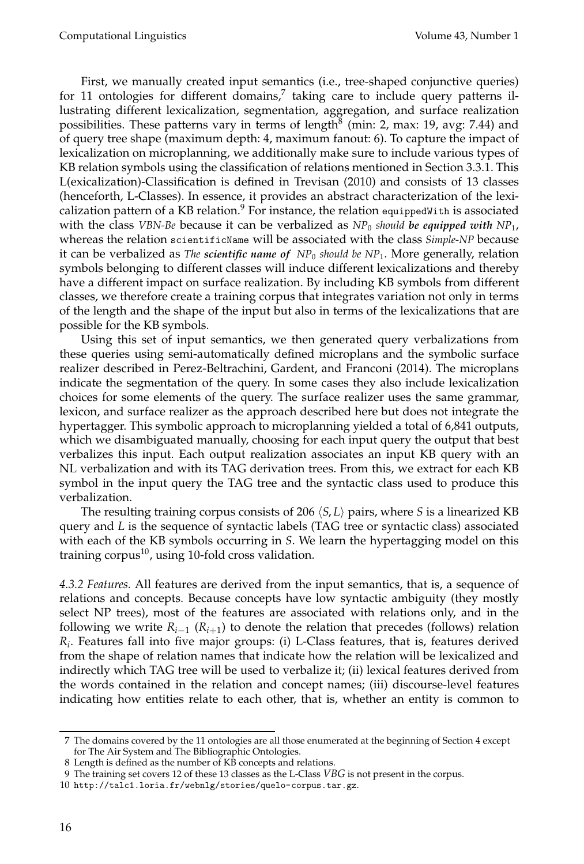First, we manually created input semantics (i.e., tree-shaped conjunctive queries) for 11 ontologies for different domains, $7$  taking care to include query patterns illustrating different lexicalization, segmentation, aggregation, and surface realization possibilities. These patterns vary in terms of length<sup>8</sup> (min: 2, max: 19, avg: 7.44) and of query tree shape (maximum depth: 4, maximum fanout: 6). To capture the impact of lexicalization on microplanning, we additionally make sure to include various types of KB relation symbols using the classification of relations mentioned in Section 3.3.1. This L(exicalization)-Classification is defined in Trevisan (2010) and consists of 13 classes (henceforth, L-Classes). In essence, it provides an abstract characterization of the lexicalization pattern of a KB relation.<sup>9</sup> For instance, the relation equippedWith is associated with the class *VBN-Be* because it can be verbalized as  $NP_0$  *should be equipped with*  $NP_1$ , whereas the relation scientificName will be associated with the class *Simple-NP* because it can be verbalized as *The scientific name of NP*<sup>0</sup> *should be NP*<sup>1</sup> . More generally, relation symbols belonging to different classes will induce different lexicalizations and thereby have a different impact on surface realization. By including KB symbols from different classes, we therefore create a training corpus that integrates variation not only in terms of the length and the shape of the input but also in terms of the lexicalizations that are possible for the KB symbols.

Using this set of input semantics, we then generated query verbalizations from these queries using semi-automatically defined microplans and the symbolic surface realizer described in Perez-Beltrachini, Gardent, and Franconi (2014). The microplans indicate the segmentation of the query. In some cases they also include lexicalization choices for some elements of the query. The surface realizer uses the same grammar, lexicon, and surface realizer as the approach described here but does not integrate the hypertagger. This symbolic approach to microplanning yielded a total of 6,841 outputs, which we disambiguated manually, choosing for each input query the output that best verbalizes this input. Each output realization associates an input KB query with an NL verbalization and with its TAG derivation trees. From this, we extract for each KB symbol in the input query the TAG tree and the syntactic class used to produce this verbalization.

The resulting training corpus consists of 206  $\langle S, L \rangle$  pairs, where *S* is a linearized KB query and *L* is the sequence of syntactic labels (TAG tree or syntactic class) associated with each of the KB symbols occurring in *S*. We learn the hypertagging model on this training corpus $^{10}$ , using 10-fold cross validation.

*4.3.2 Features.* All features are derived from the input semantics, that is, a sequence of relations and concepts. Because concepts have low syntactic ambiguity (they mostly select NP trees), most of the features are associated with relations only, and in the following we write  $R_{i-1}$  ( $R_{i+1}$ ) to denote the relation that precedes (follows) relation *Ri* . Features fall into five major groups: (i) L-Class features, that is, features derived from the shape of relation names that indicate how the relation will be lexicalized and indirectly which TAG tree will be used to verbalize it; (ii) lexical features derived from the words contained in the relation and concept names; (iii) discourse-level features indicating how entities relate to each other, that is, whether an entity is common to

<sup>7</sup> The domains covered by the 11 ontologies are all those enumerated at the beginning of Section 4 except for The Air System and The Bibliographic Ontologies.

<sup>8</sup> Length is defined as the number of KB concepts and relations.

<sup>9</sup> The training set covers 12 of these 13 classes as the L-Class *VBG* is not present in the corpus.

<sup>10</sup> http://talc1.loria.fr/webnlg/stories/quelo-corpus.tar.gz.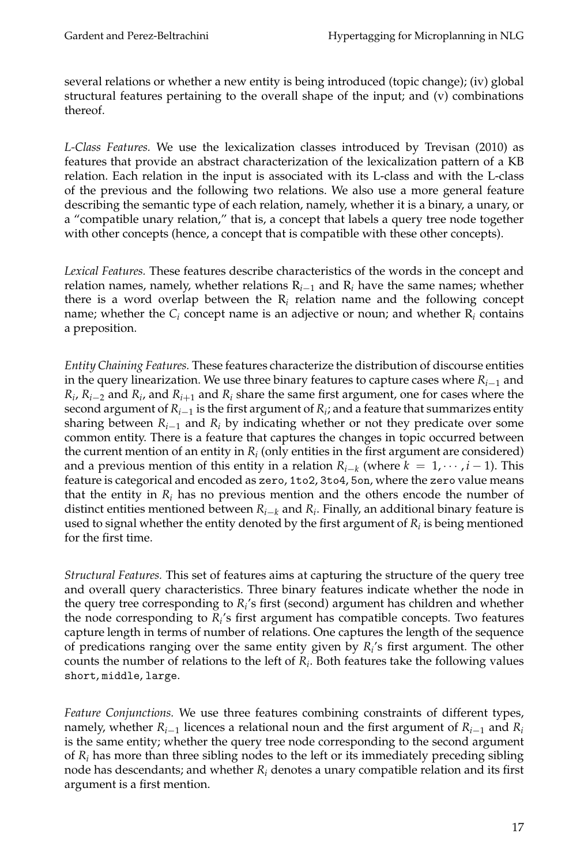several relations or whether a new entity is being introduced (topic change); (iv) global structural features pertaining to the overall shape of the input; and (v) combinations thereof.

*L-Class Features.* We use the lexicalization classes introduced by Trevisan (2010) as features that provide an abstract characterization of the lexicalization pattern of a KB relation. Each relation in the input is associated with its L-class and with the L-class of the previous and the following two relations. We also use a more general feature describing the semantic type of each relation, namely, whether it is a binary, a unary, or a "compatible unary relation," that is, a concept that labels a query tree node together with other concepts (hence, a concept that is compatible with these other concepts).

*Lexical Features.* These features describe characteristics of the words in the concept and relation names, namely, whether relations R*i*−<sup>1</sup> and R*<sup>i</sup>* have the same names; whether there is a word overlap between the R*<sup>i</sup>* relation name and the following concept name; whether the  $C_i$  concept name is an adjective or noun; and whether  $R_i$  contains a preposition.

*Entity Chaining Features.* These features characterize the distribution of discourse entities in the query linearization. We use three binary features to capture cases where *Ri*−<sup>1</sup> and  $R_i$ ,  $R_{i-2}$  and  $R_i$ , and  $R_{i+1}$  and  $R_i$  share the same first argument, one for cases where the second argument of *Ri*−<sup>1</sup> is the first argument of *R<sup>i</sup>* ; and a feature that summarizes entity sharing between  $R_{i-1}$  and  $R_i$  by indicating whether or not they predicate over some common entity. There is a feature that captures the changes in topic occurred between the current mention of an entity in  $R_i$  (only entities in the first argument are considered) and a previous mention of this entity in a relation  $R_{i-k}$  (where  $k = 1, \dots, i-1$ ). This feature is categorical and encoded as zero, 1to2, 3to4, 5on, where the zero value means that the entity in  $R_i$  has no previous mention and the others encode the number of distinct entities mentioned between *Ri*−*<sup>k</sup>* and *R<sup>i</sup>* . Finally, an additional binary feature is used to signal whether the entity denoted by the first argument of  $R_i$  is being mentioned for the first time.

*Structural Features.* This set of features aims at capturing the structure of the query tree and overall query characteristics. Three binary features indicate whether the node in the query tree corresponding to *R<sup>i</sup>* 's first (second) argument has children and whether the node corresponding to *R<sup>i</sup>* 's first argument has compatible concepts. Two features capture length in terms of number of relations. One captures the length of the sequence of predications ranging over the same entity given by  $R_i$ 's first argument. The other counts the number of relations to the left of *R<sup>i</sup>* . Both features take the following values short, middle, large.

*Feature Conjunctions.* We use three features combining constraints of different types, namely, whether *Ri*−<sup>1</sup> licences a relational noun and the first argument of *Ri*−<sup>1</sup> and *R<sup>i</sup>* is the same entity; whether the query tree node corresponding to the second argument of  $R_i$  has more than three sibling nodes to the left or its immediately preceding sibling node has descendants; and whether *R<sup>i</sup>* denotes a unary compatible relation and its first argument is a first mention.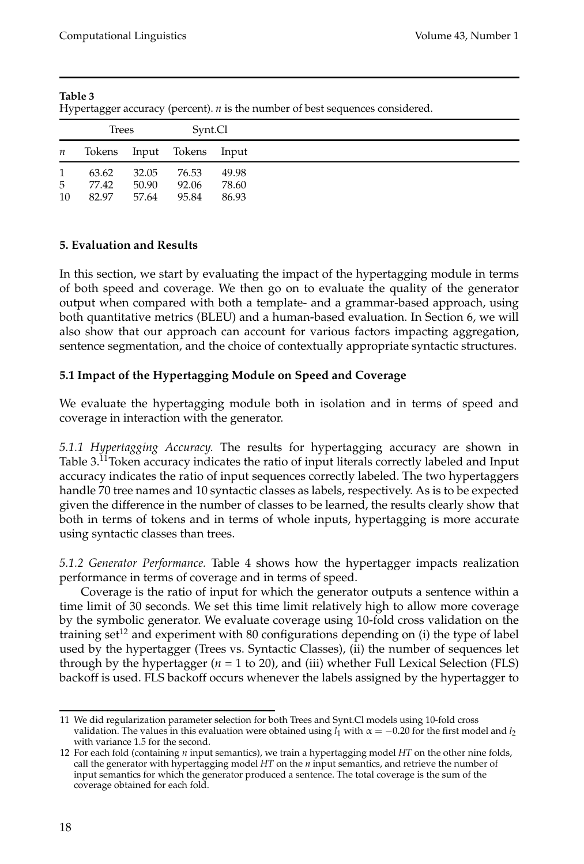|                  | Trees |       | Synt.Cl                   |       |
|------------------|-------|-------|---------------------------|-------|
| $\boldsymbol{n}$ |       |       | Tokens Input Tokens Input |       |
| 1                | 63.62 | 32.05 | 76.53                     | 49.98 |
| $5^{\circ}$      | 77.42 | 50.90 | 92.06                     | 78.60 |
| 10               | 82.97 | 57.64 | 95.84                     | 86.93 |

#### **Table 3**

Hypertagger accuracy (percent). *n* is the number of best sequences considered.

# **5. Evaluation and Results**

In this section, we start by evaluating the impact of the hypertagging module in terms of both speed and coverage. We then go on to evaluate the quality of the generator output when compared with both a template- and a grammar-based approach, using both quantitative metrics (BLEU) and a human-based evaluation. In Section 6, we will also show that our approach can account for various factors impacting aggregation, sentence segmentation, and the choice of contextually appropriate syntactic structures.

# **5.1 Impact of the Hypertagging Module on Speed and Coverage**

We evaluate the hypertagging module both in isolation and in terms of speed and coverage in interaction with the generator.

*5.1.1 Hypertagging Accuracy.* The results for hypertagging accuracy are shown in Table 3.<sup>11</sup>Token accuracy indicates the ratio of input literals correctly labeled and Input accuracy indicates the ratio of input sequences correctly labeled. The two hypertaggers handle 70 tree names and 10 syntactic classes as labels, respectively. As is to be expected given the difference in the number of classes to be learned, the results clearly show that both in terms of tokens and in terms of whole inputs, hypertagging is more accurate using syntactic classes than trees.

*5.1.2 Generator Performance.* Table 4 shows how the hypertagger impacts realization performance in terms of coverage and in terms of speed.

Coverage is the ratio of input for which the generator outputs a sentence within a time limit of 30 seconds. We set this time limit relatively high to allow more coverage by the symbolic generator. We evaluate coverage using 10-fold cross validation on the training set<sup>12</sup> and experiment with 80 configurations depending on (i) the type of label used by the hypertagger (Trees vs. Syntactic Classes), (ii) the number of sequences let through by the hypertagger  $(n = 1$  to 20), and (iii) whether Full Lexical Selection (FLS) backoff is used. FLS backoff occurs whenever the labels assigned by the hypertagger to

<sup>11</sup> We did regularization parameter selection for both Trees and Synt.Cl models using 10-fold cross validation. The values in this evaluation were obtained using  $l_1$  with  $\alpha = -0.20$  for the first model and  $l_2$ with variance 1.5 for the second.

<sup>12</sup> For each fold (containing *n* input semantics), we train a hypertagging model *HT* on the other nine folds, call the generator with hypertagging model *HT* on the *n* input semantics, and retrieve the number of input semantics for which the generator produced a sentence. The total coverage is the sum of the coverage obtained for each fold.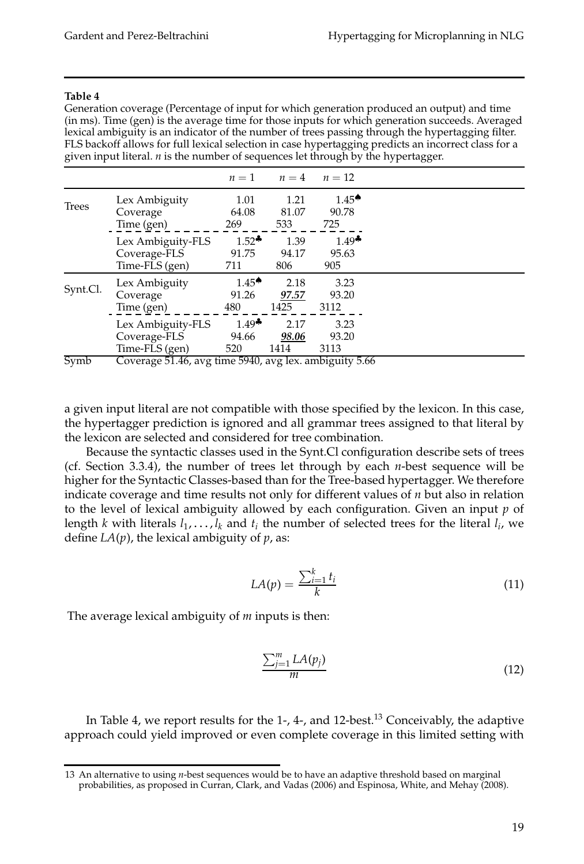#### **Table 4**

Generation coverage (Percentage of input for which generation produced an output) and time (in ms). Time (gen) is the average time for those inputs for which generation succeeds. Averaged lexical ambiguity is an indicator of the number of trees passing through the hypertagging filter. FLS backoff allows for full lexical selection in case hypertagging predicts an incorrect class for a given input literal. *n* is the number of sequences let through by the hypertagger.

|          |                                                                                                       | $n=1$                               | $n=4$                 | $n=12$                                                 |  |
|----------|-------------------------------------------------------------------------------------------------------|-------------------------------------|-----------------------|--------------------------------------------------------|--|
| Trees    | Lex Ambiguity<br>Coverage<br>Time (gen)                                                               | 1.01<br>64.08<br>269                | 1.21<br>81.07<br>533  | $1.45$ <sup><math>\bullet</math></sup><br>90.78<br>725 |  |
|          | Lex Ambiguity-FLS<br>Coverage-FLS<br>Time-FLS (gen)                                                   | $1.52$ <sup>*</sup><br>91.75<br>711 | 1.39<br>94.17<br>806  | $1.49*$<br>95.63<br>905                                |  |
| Synt.Cl. | Lex Ambiguity<br>Coverage<br>Time (gen)                                                               | $1.45$ <sup>*</sup><br>91.26<br>480 | 2.18<br>97.57<br>1425 | 3.23<br>93.20<br>3112                                  |  |
|          | Lex Ambiguity-FLS<br>Coverage-FLS<br>Time-FLS (gen)                                                   | $1.49$ <sup>*</sup><br>94.66<br>520 | 2.17<br>98.06<br>1414 | 3.23<br>93.20<br>3113                                  |  |
| Gumb     | $C_{\alpha V}$ $\alpha$ 51.46, $\alpha V_{\alpha}$ time 5940, $\alpha V_{\alpha}$ lex, ambiguity 5.66 |                                     |                       |                                                        |  |

Symb Coverage 51.46, avg time 5940, avg lex. ambiguity 5.66

a given input literal are not compatible with those specified by the lexicon. In this case, the hypertagger prediction is ignored and all grammar trees assigned to that literal by the lexicon are selected and considered for tree combination.

Because the syntactic classes used in the Synt.Cl configuration describe sets of trees (cf. Section 3.3.4), the number of trees let through by each *n*-best sequence will be higher for the Syntactic Classes-based than for the Tree-based hypertagger. We therefore indicate coverage and time results not only for different values of *n* but also in relation to the level of lexical ambiguity allowed by each configuration. Given an input *p* of length *k* with literals  $l_1, \ldots, l_k$  and  $t_i$  the number of selected trees for the literal  $l_i$ , we define  $LA(p)$ , the lexical ambiguity of  $p$ , as:

$$
LA(p) = \frac{\sum_{i=1}^{k} t_i}{k} \tag{11}
$$

The average lexical ambiguity of *m* inputs is then:

$$
\frac{\sum_{j=1}^{m} LA(p_j)}{m}
$$
 (12)

In Table 4, we report results for the 1-, 4-, and 12-best.<sup>13</sup> Conceivably, the adaptive approach could yield improved or even complete coverage in this limited setting with

<sup>13</sup> An alternative to using *n*-best sequences would be to have an adaptive threshold based on marginal probabilities, as proposed in Curran, Clark, and Vadas (2006) and Espinosa, White, and Mehay (2008).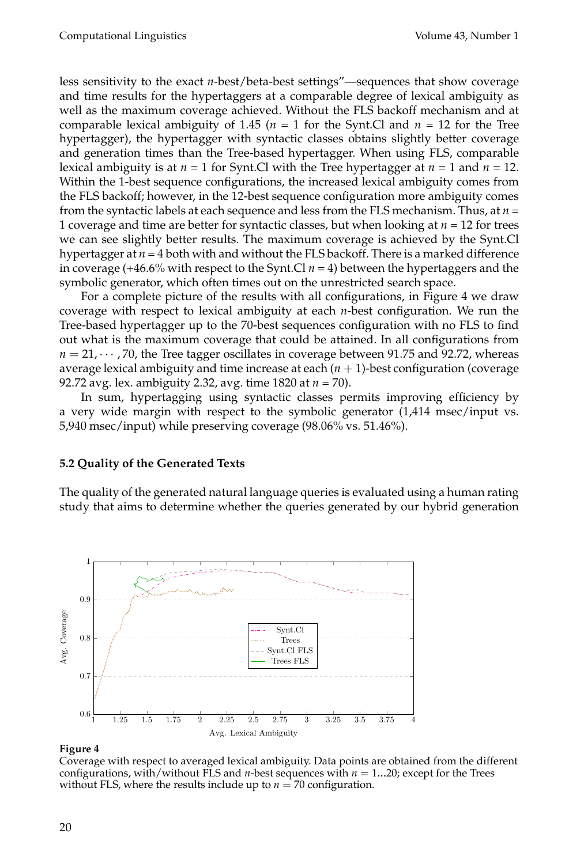less sensitivity to the exact *n*-best/beta-best settings"—sequences that show coverage and time results for the hypertaggers at a comparable degree of lexical ambiguity as well as the maximum coverage achieved. Without the FLS backoff mechanism and at comparable lexical ambiguity of 1.45 ( $n = 1$  for the Synt.Cl and  $n = 12$  for the Tree hypertagger), the hypertagger with syntactic classes obtains slightly better coverage and generation times than the Tree-based hypertagger. When using FLS, comparable lexical ambiguity is at  $n = 1$  for Synt. Cl with the Tree hypertagger at  $n = 1$  and  $n = 12$ . Within the 1-best sequence configurations, the increased lexical ambiguity comes from the FLS backoff; however, in the 12-best sequence configuration more ambiguity comes from the syntactic labels at each sequence and less from the FLS mechanism. Thus, at *n* = 1 coverage and time are better for syntactic classes, but when looking at *n* = 12 for trees we can see slightly better results. The maximum coverage is achieved by the Synt.Cl hypertagger at *n* = 4 both with and without the FLS backoff. There is a marked difference in coverage (+46.6% with respect to the Synt.Cl *n* = 4) between the hypertaggers and the symbolic generator, which often times out on the unrestricted search space.

For a complete picture of the results with all configurations, in Figure 4 we draw coverage with respect to lexical ambiguity at each *n*-best configuration. We run the Tree-based hypertagger up to the 70-best sequences configuration with no FLS to find out what is the maximum coverage that could be attained. In all configurations from  $n = 21, \dots, 70$ , the Tree tagger oscillates in coverage between 91.75 and 92.72, whereas average lexical ambiguity and time increase at each  $(n + 1)$ -best configuration (coverage 92.72 avg. lex. ambiguity 2.32, avg. time 1820 at *n* = 70).

In sum, hypertagging using syntactic classes permits improving efficiency by a very wide margin with respect to the symbolic generator (1,414 msec/input vs. 5,940 msec/input) while preserving coverage (98.06% vs. 51.46%).

### **5.2 Quality of the Generated Texts**

The quality of the generated natural language queries is evaluated using a human rating study that aims to determine whether the queries generated by our hybrid generation



#### **Figure 4**

Coverage with respect to averaged lexical ambiguity. Data points are obtained from the different configurations, with/without FLS and *n*-best sequences with  $n = 1...20$ ; except for the Trees without FLS, where the results include up to  $n = 70$  configuration.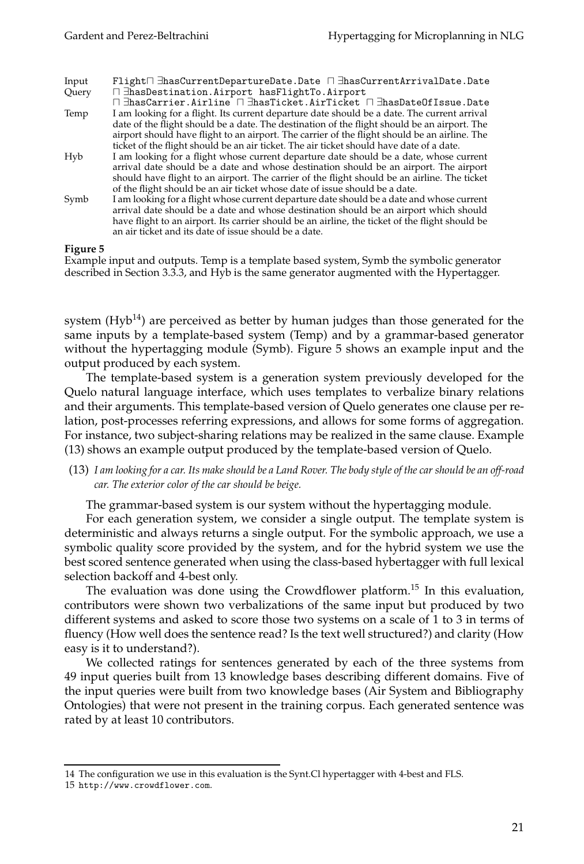| Input | $\texttt{Flight} \Box$ hasCurrentDepartureDate.Date $\Box$ $\exists$ hasCurrentArrivalDate.Date |
|-------|-------------------------------------------------------------------------------------------------|
| Query | $\Box$ $\exists$ has <code>Destination.Airport hasFlightTo.Airport</code>                       |

- ⊓ ∃hasCarrier.Airline ⊓ ∃hasTicket.AirTicket ⊓ ∃hasDateOfIssue.Date Temp I am looking for a flight. Its current departure date should be a date. The current arrival date of the flight should be a date. The destination of the flight should be an airport. The airport should have flight to an airport. The carrier of the flight should be an airline. The ticket of the flight should be an air ticket. The air ticket should have date of a date.
- Hyb I am looking for a flight whose current departure date should be a date, whose current arrival date should be a date and whose destination should be an airport. The airport should have flight to an airport. The carrier of the flight should be an airline. The ticket of the flight should be an air ticket whose date of issue should be a date.
- Symb I am looking for a flight whose current departure date should be a date and whose current arrival date should be a date and whose destination should be an airport which should have flight to an airport. Its carrier should be an airline, the ticket of the flight should be an air ticket and its date of issue should be a date.

#### **Figure 5**

Example input and outputs. Temp is a template based system, Symb the symbolic generator described in Section 3.3.3, and Hyb is the same generator augmented with the Hypertagger.

system  $(Hyb<sup>14</sup>)$  are perceived as better by human judges than those generated for the same inputs by a template-based system (Temp) and by a grammar-based generator without the hypertagging module (Symb). Figure 5 shows an example input and the output produced by each system.

The template-based system is a generation system previously developed for the Quelo natural language interface, which uses templates to verbalize binary relations and their arguments. This template-based version of Quelo generates one clause per relation, post-processes referring expressions, and allows for some forms of aggregation. For instance, two subject-sharing relations may be realized in the same clause. Example (13) shows an example output produced by the template-based version of Quelo.

(13) *I am looking for a car. Its make should be a Land Rover. The body style of the car should be an off-road car. The exterior color of the car should be beige.*

The grammar-based system is our system without the hypertagging module.

For each generation system, we consider a single output. The template system is deterministic and always returns a single output. For the symbolic approach, we use a symbolic quality score provided by the system, and for the hybrid system we use the best scored sentence generated when using the class-based hybertagger with full lexical selection backoff and 4-best only.

The evaluation was done using the Crowdflower platform.<sup>15</sup> In this evaluation, contributors were shown two verbalizations of the same input but produced by two different systems and asked to score those two systems on a scale of 1 to 3 in terms of fluency (How well does the sentence read? Is the text well structured?) and clarity (How easy is it to understand?).

We collected ratings for sentences generated by each of the three systems from 49 input queries built from 13 knowledge bases describing different domains. Five of the input queries were built from two knowledge bases (Air System and Bibliography Ontologies) that were not present in the training corpus. Each generated sentence was rated by at least 10 contributors.

<sup>14</sup> The configuration we use in this evaluation is the Synt.Cl hypertagger with 4-best and FLS.

<sup>15</sup> http://www.crowdflower.com.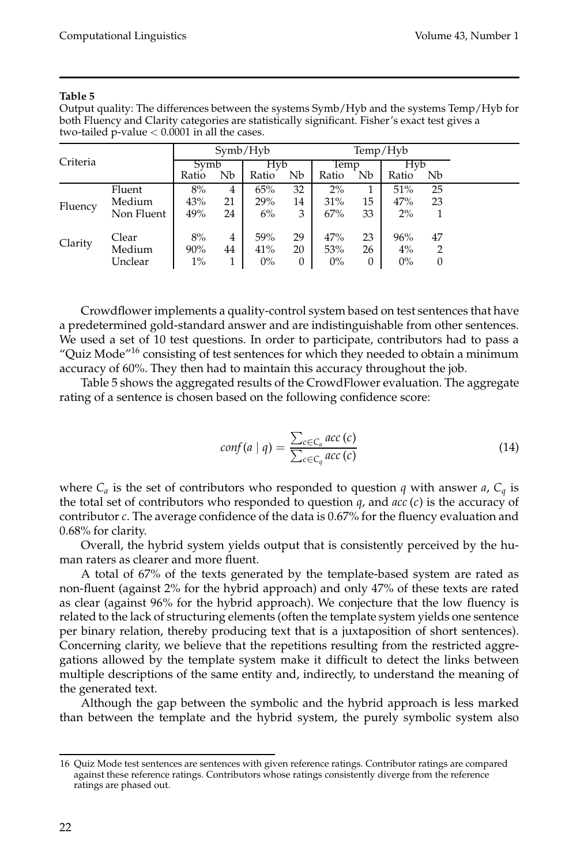#### **Table 5**

Output quality: The differences between the systems Symb/Hyb and the systems Temp/Hyb for both Fluency and Clarity categories are statistically significant. Fisher's exact test gives a two-tailed p-value < 0.0001 in all the cases.

|          | Symb/Hyb   |       |     | Temp/Hyb |          |       |          |       |          |
|----------|------------|-------|-----|----------|----------|-------|----------|-------|----------|
| Criteria | Symb       |       | Hyb |          | Temp     |       | Hyb      |       |          |
|          |            | Ratio | Nb  | Ratio    | Nb       | Ratio | Nb       | Ratio | Nb       |
|          | Fluent     | 8%    | 4   | 65%      | 32       | $2\%$ |          | 51%   | 25       |
| Fluency  | Medium     | 43%   | 21  | 29%      | 14       | 31%   | 15       | 47%   | 23       |
|          | Non Fluent | 49%   | 24  | 6%       | 3        | 67%   | 33       | 2%    |          |
|          |            |       |     |          |          |       |          |       |          |
|          | Clear      | 8%    | 4   | 59%      | 29       | 47%   | 23       | 96%   | 47       |
| Clarity  | Medium     | 90%   | 44  | 41%      | 20       | 53%   | 26       | $4\%$ | 2        |
|          | Unclear    | $1\%$ | 1   | $0\%$    | $\theta$ | $0\%$ | $\theta$ | $0\%$ | $\theta$ |

Crowdflower implements a quality-control system based on test sentences that have a predetermined gold-standard answer and are indistinguishable from other sentences. We used a set of 10 test questions. In order to participate, contributors had to pass a "Quiz Mode"<sup>16</sup> consisting of test sentences for which they needed to obtain a minimum accuracy of 60%. They then had to maintain this accuracy throughout the job.

Table 5 shows the aggregated results of the CrowdFlower evaluation. The aggregate rating of a sentence is chosen based on the following confidence score:

$$
conf(a \mid q) = \frac{\sum_{c \in C_a} acc(c)}{\sum_{c \in C_q} acc(c)} \tag{14}
$$

where  $C_a$  is the set of contributors who responded to question  $q$  with answer  $a$ ,  $C_q$  is the total set of contributors who responded to question *q*, and *acc* (*c*) is the accuracy of contributor *c*. The average confidence of the data is 0.67% for the fluency evaluation and 0.68% for clarity.

Overall, the hybrid system yields output that is consistently perceived by the human raters as clearer and more fluent.

A total of 67% of the texts generated by the template-based system are rated as non-fluent (against 2% for the hybrid approach) and only 47% of these texts are rated as clear (against 96% for the hybrid approach). We conjecture that the low fluency is related to the lack of structuring elements (often the template system yields one sentence per binary relation, thereby producing text that is a juxtaposition of short sentences). Concerning clarity, we believe that the repetitions resulting from the restricted aggregations allowed by the template system make it difficult to detect the links between multiple descriptions of the same entity and, indirectly, to understand the meaning of the generated text.

Although the gap between the symbolic and the hybrid approach is less marked than between the template and the hybrid system, the purely symbolic system also

<sup>16</sup> Quiz Mode test sentences are sentences with given reference ratings. Contributor ratings are compared against these reference ratings. Contributors whose ratings consistently diverge from the reference ratings are phased out.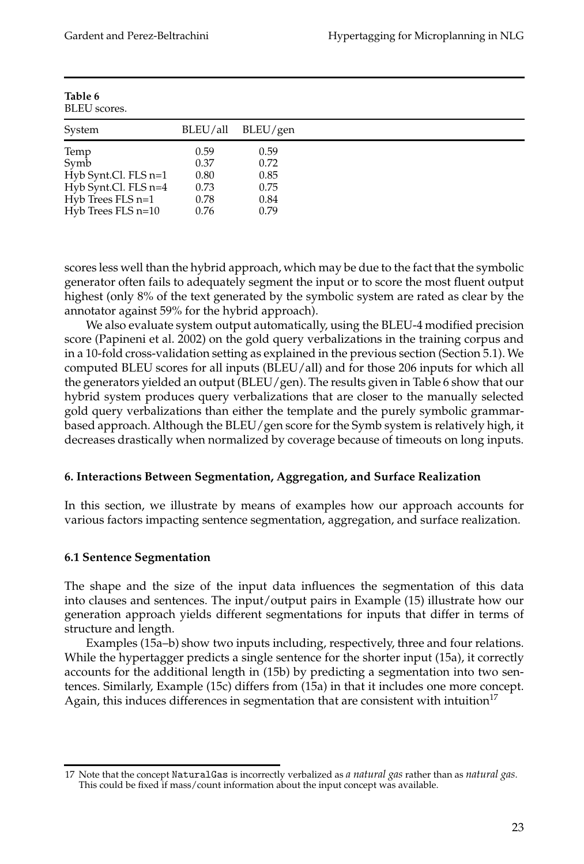| Table 6<br><b>BLEU</b> scores. |          |          |  |  |  |  |
|--------------------------------|----------|----------|--|--|--|--|
| System                         | BLEU/all | BLEU/gen |  |  |  |  |
| Temp                           | 0.59     | 0.59     |  |  |  |  |
| Symb                           | 0.37     | 0.72     |  |  |  |  |
| Hyb Synt.Cl. FLS n=1           | 0.80     | 0.85     |  |  |  |  |
| Hyb Synt.Cl. FLS n=4           | 0.73     | 0.75     |  |  |  |  |
| $Hyb$ Trees $FLS$ n=1          | 0.78     | 0.84     |  |  |  |  |
| Hyb Trees FLS n=10             | 0.76     | 0.79     |  |  |  |  |

| Table 6 |             |
|---------|-------------|
|         | BLEU scores |

scores less well than the hybrid approach, which may be due to the fact that the symbolic generator often fails to adequately segment the input or to score the most fluent output highest (only 8% of the text generated by the symbolic system are rated as clear by the annotator against 59% for the hybrid approach).

We also evaluate system output automatically, using the BLEU-4 modified precision score (Papineni et al. 2002) on the gold query verbalizations in the training corpus and in a 10-fold cross-validation setting as explained in the previous section (Section 5.1). We computed BLEU scores for all inputs (BLEU/all) and for those 206 inputs for which all the generators yielded an output (BLEU/gen). The results given in Table 6 show that our hybrid system produces query verbalizations that are closer to the manually selected gold query verbalizations than either the template and the purely symbolic grammarbased approach. Although the BLEU/gen score for the Symb system is relatively high, it decreases drastically when normalized by coverage because of timeouts on long inputs.

### **6. Interactions Between Segmentation, Aggregation, and Surface Realization**

In this section, we illustrate by means of examples how our approach accounts for various factors impacting sentence segmentation, aggregation, and surface realization.

# **6.1 Sentence Segmentation**

The shape and the size of the input data influences the segmentation of this data into clauses and sentences. The input/output pairs in Example (15) illustrate how our generation approach yields different segmentations for inputs that differ in terms of structure and length.

Examples (15a–b) show two inputs including, respectively, three and four relations. While the hypertagger predicts a single sentence for the shorter input (15a), it correctly accounts for the additional length in (15b) by predicting a segmentation into two sentences. Similarly, Example (15c) differs from (15a) in that it includes one more concept. Again, this induces differences in segmentation that are consistent with intuition<sup>17</sup>

<sup>17</sup> Note that the concept NaturalGas is incorrectly verbalized as *a natural gas* rather than as *natural gas*. This could be fixed if mass/count information about the input concept was available.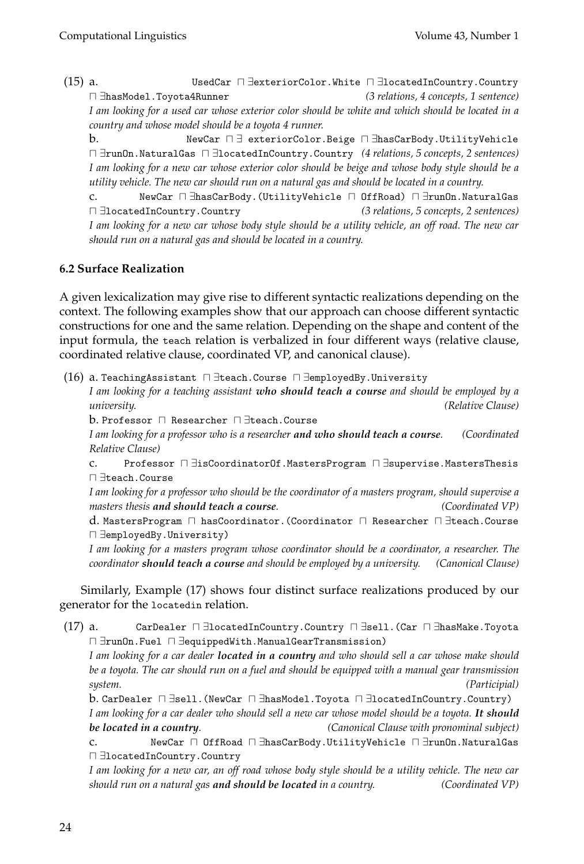(15) a. UsedCar ⊓ ∃exteriorColor.White ⊓ ∃locatedInCountry.Country ⊓ ∃hasModel.Toyota4Runner *(3 relations, 4 concepts, 1 sentence) I am looking for a used car whose exterior color should be white and which should be located in a country and whose model should be a toyota 4 runner.*

b. NewCar ⊓ ∃ exteriorColor.Beige ⊓ ∃hasCarBody.UtilityVehicle ⊓ ∃runOn.NaturalGas ⊓ ∃locatedInCountry.Country *(4 relations, 5 concepts, 2 sentences) I am looking for a new car whose exterior color should be beige and whose body style should be a utility vehicle. The new car should run on a natural gas and should be located in a country.*

c. NewCar ⊓ ∃hasCarBody.(UtilityVehicle ⊓ OffRoad) ⊓ ∃runOn.NaturalGas ⊓ ∃locatedInCountry.Country *(3 relations, 5 concepts, 2 sentences) I am looking for a new car whose body style should be a utility vehicle, an off road. The new car should run on a natural gas and should be located in a country.*

# **6.2 Surface Realization**

A given lexicalization may give rise to different syntactic realizations depending on the context. The following examples show that our approach can choose different syntactic constructions for one and the same relation. Depending on the shape and content of the input formula, the teach relation is verbalized in four different ways (relative clause, coordinated relative clause, coordinated VP, and canonical clause).

(16) a. TeachingAssistant ⊓ ∃teach.Course ⊓ ∃employedBy.University

*I am looking for a teaching assistant who should teach a course and should be employed by a university. (Relative Clause)*

b. Professor ⊓ Researcher ⊓ ∃teach.Course

*I am looking for a professor who is a researcher and who should teach a course. (Coordinated Relative Clause)*

c. Professor ⊓ ∃isCoordinatorOf.MastersProgram ⊓ ∃supervise.MastersThesis ⊓ ∃teach.Course

*I am looking for a professor who should be the coordinator of a masters program, should supervise a masters thesis and should teach a course. (Coordinated VP)*

d. MastersProgram ⊓ hasCoordinator.(Coordinator ⊓ Researcher ⊓ ∃teach.Course ⊓ ∃employedBy.University)

*I am looking for a masters program whose coordinator should be a coordinator, a researcher. The coordinator should teach a course and should be employed by a university. (Canonical Clause)*

Similarly, Example (17) shows four distinct surface realizations produced by our generator for the locatedin relation.

(17) a. CarDealer ⊓ ∃locatedInCountry.Country ⊓ ∃sell.(Car ⊓ ∃hasMake.Toyota ⊓ ∃runOn.Fuel ⊓ ∃equippedWith.ManualGearTransmission)

*I am looking for a car dealer located in a country and who should sell a car whose make should be a toyota. The car should run on a fuel and should be equipped with a manual gear transmission system. (Participial)*

b. CarDealer ⊓ ∃sell.(NewCar ⊓ ∃hasModel.Toyota ⊓ ∃locatedInCountry.Country) *I am looking for a car dealer who should sell a new car whose model should be a toyota. It should be located in a country. (Canonical Clause with pronominal subject)*

c. NewCar ⊓ OffRoad ⊓ ∃hasCarBody.UtilityVehicle ⊓ ∃runOn.NaturalGas ⊓ ∃locatedInCountry.Country

*I am looking for a new car, an off road whose body style should be a utility vehicle. The new car should run on a natural gas and should be located in a country. (Coordinated VP)*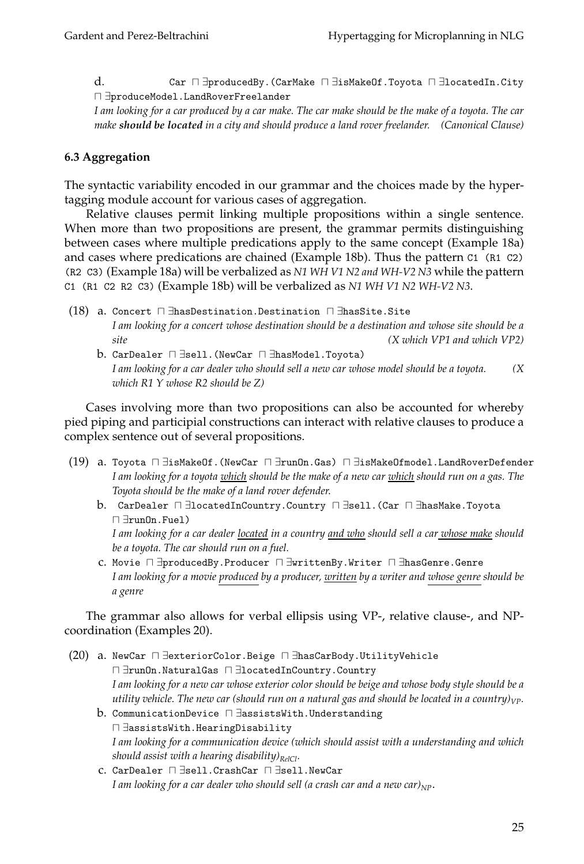d. Car ⊓ ∃producedBy.(CarMake ⊓ ∃isMakeOf.Toyota ⊓ ∃locatedIn.City ⊓ ∃produceModel.LandRoverFreelander

*I am looking for a car produced by a car make. The car make should be the make of a toyota. The car make should be located in a city and should produce a land rover freelander. (Canonical Clause)*

### **6.3 Aggregation**

The syntactic variability encoded in our grammar and the choices made by the hypertagging module account for various cases of aggregation.

Relative clauses permit linking multiple propositions within a single sentence. When more than two propositions are present, the grammar permits distinguishing between cases where multiple predications apply to the same concept (Example 18a) and cases where predications are chained (Example 18b). Thus the pattern C1 (R1 C2) (R2 C3) (Example 18a) will be verbalized as *N1 WH V1 N2 and WH-V2 N3* while the pattern C1 (R1 C2 R2 C3) (Example 18b) will be verbalized as *N1 WH V1 N2 WH-V2 N3*.

- (18) a. Concert ⊓ ∃hasDestination.Destination ⊓ ∃hasSite.Site *I am looking for a concert whose destination should be a destination and whose site should be a site (X which VP1 and which VP2)*
	- b. CarDealer ⊓ ∃sell.(NewCar ⊓ ∃hasModel.Toyota) *I am looking for a car dealer who should sell a new car whose model should be a toyota. (X which R1 Y whose R2 should be Z)*

Cases involving more than two propositions can also be accounted for whereby pied piping and participial constructions can interact with relative clauses to produce a complex sentence out of several propositions.

- (19) a. Toyota ⊓ ∃isMakeOf.(NewCar ⊓ ∃runOn.Gas) ⊓ ∃isMakeOfmodel.LandRoverDefender *I am looking for a toyota which should be the make of a new car which should run on a gas. The Toyota should be the make of a land rover defender.*
	- b. CarDealer ⊓ ∃locatedInCountry.Country ⊓ ∃sell.(Car ⊓ ∃hasMake.Toyota ⊓ ∃runOn.Fuel) *I am looking for a car dealer located in a country and who should sell a car whose make should be a toyota. The car should run on a fuel.*
	- c. Movie ⊓ ∃producedBy.Producer ⊓ ∃writtenBy.Writer ⊓ ∃hasGenre.Genre *I am looking for a movie produced by a producer, written by a writer and whose genre should be a genre*

The grammar also allows for verbal ellipsis using VP-, relative clause-, and NPcoordination (Examples 20).

- (20) a. NewCar ⊓ ∃exteriorColor.Beige ⊓ ∃hasCarBody.UtilityVehicle ⊓ ∃runOn.NaturalGas ⊓ ∃locatedInCountry.Country *I am looking for a new car whose exterior color should be beige and whose body style should be a utility vehicle. The new car (should run on a natural gas and should be located in a country)VP.*
	- b. CommunicationDevice ⊓ ∃assistsWith.Understanding ⊓ ∃assistsWith.HearingDisability *I am looking for a communication device (which should assist with a understanding and which should assist with a hearing disability)RelCl.*
	- c. CarDealer ⊓ ∃sell.CrashCar ⊓ ∃sell.NewCar *I am looking for a car dealer who should sell (a crash car and a new car)*<sub>*NP</sub>*.</sub>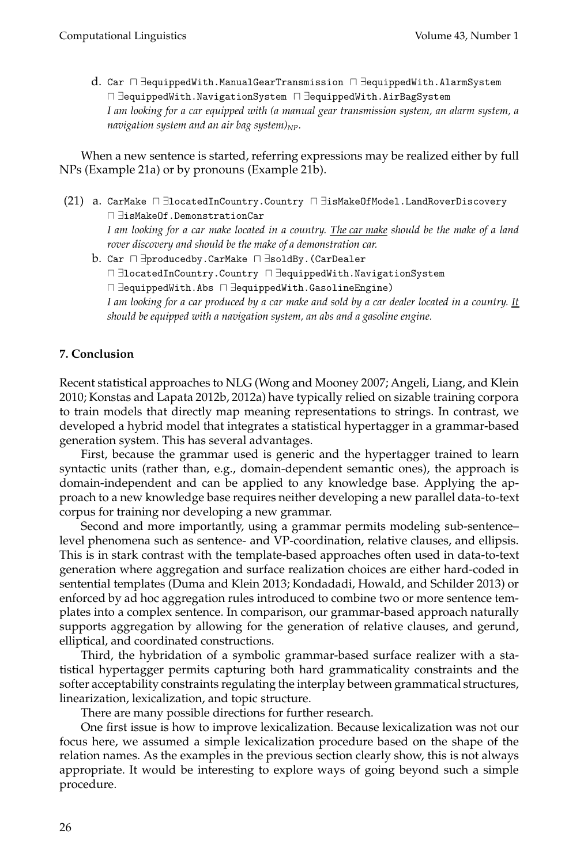d. Car ⊓ ∃equippedWith.ManualGearTransmission ⊓ ∃equippedWith.AlarmSystem ⊓ ∃equippedWith.NavigationSystem ⊓ ∃equippedWith.AirBagSystem *I am looking for a car equipped with (a manual gear transmission system, an alarm system, a navigation system and an air bag system)NP.*

When a new sentence is started, referring expressions may be realized either by full NPs (Example 21a) or by pronouns (Example 21b).

- (21) a. CarMake ⊓ ∃locatedInCountry.Country ⊓ ∃isMakeOfModel.LandRoverDiscovery ⊓ ∃isMakeOf.DemonstrationCar *I am looking for a car make located in a country. The car make should be the make of a land rover discovery and should be the make of a demonstration car.*
	- b. Car ⊓ ∃producedby.CarMake ⊓ ∃soldBy.(CarDealer ⊓ ∃locatedInCountry.Country ⊓ ∃equippedWith.NavigationSystem ⊓ ∃equippedWith.Abs ⊓ ∃equippedWith.GasolineEngine) *I am looking for a car produced by a car make and sold by a car dealer located in a country. It should be equipped with a navigation system, an abs and a gasoline engine.*

# **7. Conclusion**

Recent statistical approaches to NLG (Wong and Mooney 2007; Angeli, Liang, and Klein 2010; Konstas and Lapata 2012b, 2012a) have typically relied on sizable training corpora to train models that directly map meaning representations to strings. In contrast, we developed a hybrid model that integrates a statistical hypertagger in a grammar-based generation system. This has several advantages.

First, because the grammar used is generic and the hypertagger trained to learn syntactic units (rather than, e.g., domain-dependent semantic ones), the approach is domain-independent and can be applied to any knowledge base. Applying the approach to a new knowledge base requires neither developing a new parallel data-to-text corpus for training nor developing a new grammar.

Second and more importantly, using a grammar permits modeling sub-sentence– level phenomena such as sentence- and VP-coordination, relative clauses, and ellipsis. This is in stark contrast with the template-based approaches often used in data-to-text generation where aggregation and surface realization choices are either hard-coded in sentential templates (Duma and Klein 2013; Kondadadi, Howald, and Schilder 2013) or enforced by ad hoc aggregation rules introduced to combine two or more sentence templates into a complex sentence. In comparison, our grammar-based approach naturally supports aggregation by allowing for the generation of relative clauses, and gerund, elliptical, and coordinated constructions.

Third, the hybridation of a symbolic grammar-based surface realizer with a statistical hypertagger permits capturing both hard grammaticality constraints and the softer acceptability constraints regulating the interplay between grammatical structures, linearization, lexicalization, and topic structure.

There are many possible directions for further research.

One first issue is how to improve lexicalization. Because lexicalization was not our focus here, we assumed a simple lexicalization procedure based on the shape of the relation names. As the examples in the previous section clearly show, this is not always appropriate. It would be interesting to explore ways of going beyond such a simple procedure.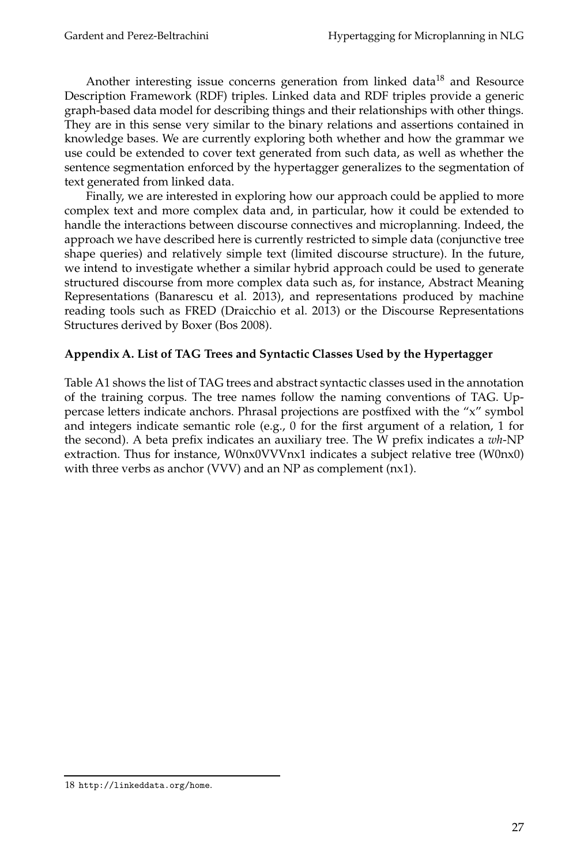Another interesting issue concerns generation from linked data $18$  and Resource Description Framework (RDF) triples. Linked data and RDF triples provide a generic graph-based data model for describing things and their relationships with other things. They are in this sense very similar to the binary relations and assertions contained in knowledge bases. We are currently exploring both whether and how the grammar we use could be extended to cover text generated from such data, as well as whether the sentence segmentation enforced by the hypertagger generalizes to the segmentation of text generated from linked data.

Finally, we are interested in exploring how our approach could be applied to more complex text and more complex data and, in particular, how it could be extended to handle the interactions between discourse connectives and microplanning. Indeed, the approach we have described here is currently restricted to simple data (conjunctive tree shape queries) and relatively simple text (limited discourse structure). In the future, we intend to investigate whether a similar hybrid approach could be used to generate structured discourse from more complex data such as, for instance, Abstract Meaning Representations (Banarescu et al. 2013), and representations produced by machine reading tools such as FRED (Draicchio et al. 2013) or the Discourse Representations Structures derived by Boxer (Bos 2008).

# **Appendix A. List of TAG Trees and Syntactic Classes Used by the Hypertagger**

Table A1 shows the list of TAG trees and abstract syntactic classes used in the annotation of the training corpus. The tree names follow the naming conventions of TAG. Uppercase letters indicate anchors. Phrasal projections are postfixed with the "x" symbol and integers indicate semantic role (e.g.,  $0$  for the first argument of a relation, 1 for the second). A beta prefix indicates an auxiliary tree. The W prefix indicates a *wh*-NP extraction. Thus for instance, W0nx0VVVnx1 indicates a subject relative tree (W0nx0) with three verbs as anchor (VVV) and an NP as complement (nx1).

<sup>18</sup> http://linkeddata.org/home.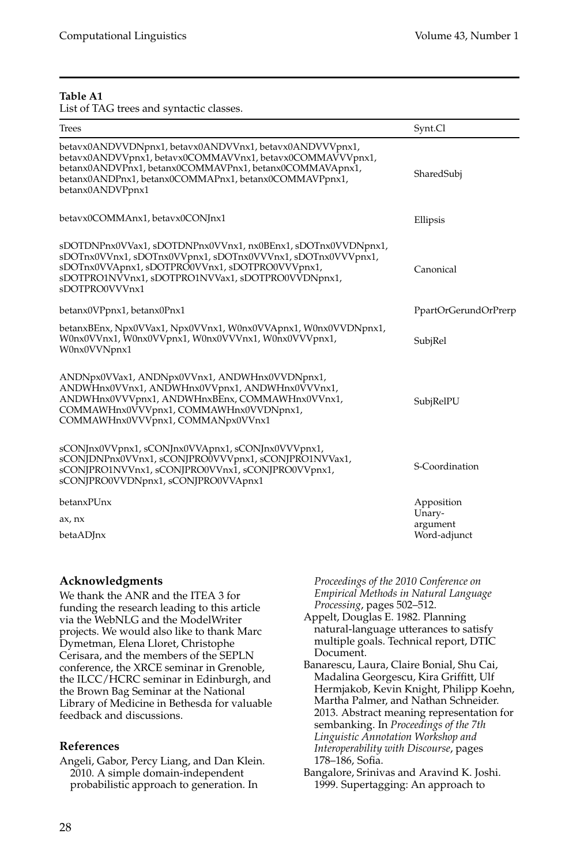#### **Table A1**

List of TAG trees and syntactic classes.

| Trees                                                                                                                                                                                                                                                        | Synt.Cl                                          |
|--------------------------------------------------------------------------------------------------------------------------------------------------------------------------------------------------------------------------------------------------------------|--------------------------------------------------|
| betavx0ANDVVDNpnx1, betavx0ANDVVnx1, betavx0ANDVVVpnx1,<br>betavx0ANDVVpnx1, betavx0COMMAVVnx1, betavx0COMMAVVVpnx1,<br>betanx0ANDVPnx1, betanx0COMMAVPnx1, betanx0COMMAVApnx1,<br>betanx0ANDPnx1, betanx0COMMAPnx1, betanx0COMMAVPpnx1,<br>betanx0ANDVPpnx1 | SharedSubj                                       |
| betavx0COMMAnx1, betavx0CONJnx1                                                                                                                                                                                                                              | Ellipsis                                         |
| sDOTDNPnx0VVax1, sDOTDNPnx0VVnx1, nx0BEnx1, sDOTnx0VVDNpnx1,<br>sDOTnx0VVnx1, sDOTnx0VVpnx1, sDOTnx0VVVnx1, sDOTnx0VVVpnx1,<br>sDOTnx0VVApnx1, sDOTPRO0VVnx1, sDOTPRO0VVVpnx1,<br>sDOTPRO1NVVnx1, sDOTPRO1NVVax1, sDOTPRO0VVDNpnx1,<br>sDOTPRO0VVVnx1        | Canonical                                        |
| betanx0VPpnx1, betanx0Pnx1                                                                                                                                                                                                                                   | PpartOrGerundOrPrerp                             |
| betanxBEnx, Npx0VVax1, Npx0VVnx1, W0nx0VVApnx1, W0nx0VVDNpnx1,<br>W0nx0VVnx1, W0nx0VVpnx1, W0nx0VVVnx1, W0nx0VVVpnx1,<br>W0nx0VVNpnx1                                                                                                                        | SubjRel                                          |
| ANDNpx0VVax1, ANDNpx0VVnx1, ANDWHnx0VVDNpnx1,<br>ANDWHnx0VVnx1, ANDWHnx0VVpnx1, ANDWHnx0VVVnx1,<br>ANDWHnx0VVVpnx1, ANDWHnxBEnx, COMMAWHnx0VVnx1,<br>COMMAWHnx0VVVpnx1, COMMAWHnx0VVDNpnx1,<br>COMMAWHnx0VVVpnx1, COMMANpx0VVnx1                             | SubjRelPU                                        |
| sCONJnx0VVpnx1, sCONJnx0VVApnx1, sCONJnx0VVVpnx1,<br>sCONJDNPnx0VVnx1, sCONJPRO0VVVpnx1, sCONJPRO1NVVax1,<br>sCONJPRO1NVVnx1, sCONJPRO0VVnx1, sCONJPRO0VVpnx1,<br>sCONJPRO0VVDNpnx1, sCONJPRO0VVApnx1                                                        | S-Coordination                                   |
| betanxPUnx<br>ax, nx<br>betaADJnx                                                                                                                                                                                                                            | Apposition<br>Unary-<br>argument<br>Word-adjunct |
|                                                                                                                                                                                                                                                              |                                                  |

### **Acknowledgments**

We thank the ANR and the ITEA 3 for funding the research leading to this article via the WebNLG and the ModelWriter projects. We would also like to thank Marc Dymetman, Elena Lloret, Christophe Cerisara, and the members of the SEPLN conference, the XRCE seminar in Grenoble, the ILCC/HCRC seminar in Edinburgh, and the Brown Bag Seminar at the National Library of Medicine in Bethesda for valuable feedback and discussions.

# **References**

Angeli, Gabor, Percy Liang, and Dan Klein. 2010. A simple domain-independent probabilistic approach to generation. In

*Proceedings of the 2010 Conference on Empirical Methods in Natural Language Processing*, pages 502–512.

- Appelt, Douglas E. 1982. Planning natural-language utterances to satisfy multiple goals. Technical report, DTIC Document.
- Banarescu, Laura, Claire Bonial, Shu Cai, Madalina Georgescu, Kira Griffitt, Ulf Hermjakob, Kevin Knight, Philipp Koehn, Martha Palmer, and Nathan Schneider. 2013. Abstract meaning representation for sembanking. In *Proceedings of the 7th Linguistic Annotation Workshop and Interoperability with Discourse*, pages 178–186, Sofia.
- Bangalore, Srinivas and Aravind K. Joshi. 1999. Supertagging: An approach to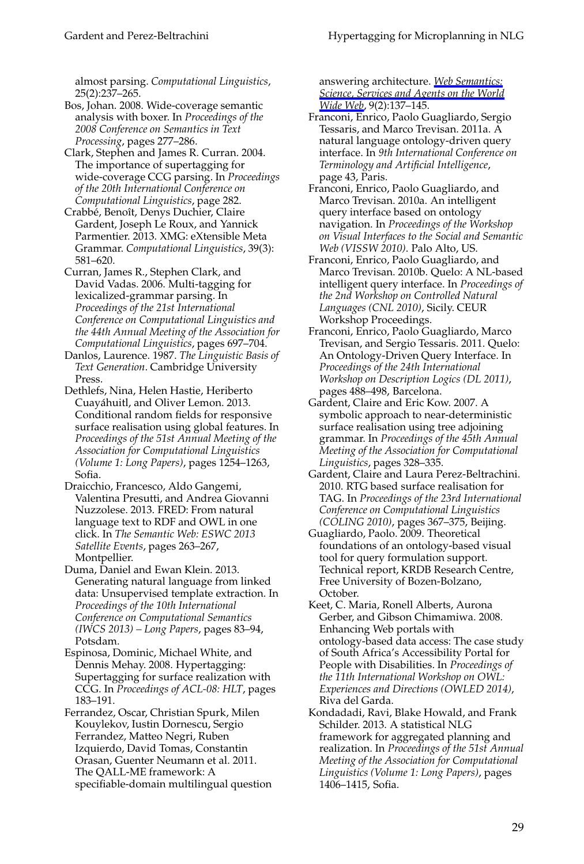almost parsing. *Computational Linguistics*, 25(2):237–265.

Bos, Johan. 2008. Wide-coverage semantic analysis with boxer. In *Proceedings of the 2008 Conference on Semantics in Text Processing*, pages 277–286.

Clark, Stephen and James R. Curran. 2004. The importance of supertagging for wide-coverage CCG parsing. In *Proceedings of the 20th International Conference on Computational Linguistics*, page 282.

Crabbé, Benoît, Denys Duchier, Claire Gardent, Joseph Le Roux, and Yannick Parmentier. 2013. XMG: eXtensible Meta Grammar. *Computational Linguistics*, 39(3): 581–620.

Curran, James R., Stephen Clark, and David Vadas. 2006. Multi-tagging for lexicalized-grammar parsing. In *Proceedings of the 21st International Conference on Computational Linguistics and the 44th Annual Meeting of the Association for Computational Linguistics*, pages 697–704.

Danlos, Laurence. 1987. *The Linguistic Basis of Text Generation*. Cambridge University Press.

Dethlefs, Nina, Helen Hastie, Heriberto Cuayáhuitl, and Oliver Lemon. 2013. Conditional random fields for responsive surface realisation using global features. In *Proceedings of the 51st Annual Meeting of the Association for Computational Linguistics (Volume 1: Long Papers)*, pages 1254–1263, Sofia.

Draicchio, Francesco, Aldo Gangemi, Valentina Presutti, and Andrea Giovanni Nuzzolese. 2013. FRED: From natural language text to RDF and OWL in one click. In *The Semantic Web: ESWC 2013 Satellite Events*, pages 263–267, Montpellier.

Duma, Daniel and Ewan Klein. 2013. Generating natural language from linked data: Unsupervised template extraction. In *Proceedings of the 10th International Conference on Computational Semantics (IWCS 2013) – Long Papers*, pages 83–94, Potsdam.

Espinosa, Dominic, Michael White, and Dennis Mehay. 2008. Hypertagging: Supertagging for surface realization with CCG. In *Proceedings of ACL-08: HLT*, pages 183–191.

Ferrandez, Oscar, Christian Spurk, Milen Kouylekov, Iustin Dornescu, Sergio Ferrandez, Matteo Negri, Ruben Izquierdo, David Tomas, Constantin Orasan, Guenter Neumann et al. 2011. The QALL-ME framework: A specifiable-domain multilingual question answering architecture. *[Web Semantics:](http://www.mitpressjournals.org/action/showLinks?crossref=10.1016%2Fj.websem.2011.01.002) [Science, Services and Agents on the World](http://www.mitpressjournals.org/action/showLinks?crossref=10.1016%2Fj.websem.2011.01.002) [Wide Web](http://www.mitpressjournals.org/action/showLinks?crossref=10.1016%2Fj.websem.2011.01.002)*, 9(2):137–145.

- Franconi, Enrico, Paolo Guagliardo, Sergio Tessaris, and Marco Trevisan. 2011a. A natural language ontology-driven query interface. In *9th International Conference on Terminology and Artificial Intelligence*, page 43, Paris.
- Franconi, Enrico, Paolo Guagliardo, and Marco Trevisan. 2010a. An intelligent query interface based on ontology navigation. In *Proceedings of the Workshop on Visual Interfaces to the Social and Semantic Web (VISSW 2010)*. Palo Alto, US.

Franconi, Enrico, Paolo Guagliardo, and Marco Trevisan. 2010b. Quelo: A NL-based intelligent query interface. In *Proceedings of the 2nd Workshop on Controlled Natural Languages (CNL 2010)*, Sicily. CEUR Workshop Proceedings.

Franconi, Enrico, Paolo Guagliardo, Marco Trevisan, and Sergio Tessaris. 2011. Quelo: An Ontology-Driven Query Interface. In *Proceedings of the 24th International Workshop on Description Logics (DL 2011)*, pages 488–498, Barcelona.

Gardent, Claire and Eric Kow. 2007. A symbolic approach to near-deterministic surface realisation using tree adjoining grammar. In *Proceedings of the 45th Annual Meeting of the Association for Computational Linguistics*, pages 328–335.

Gardent, Claire and Laura Perez-Beltrachini. 2010. RTG based surface realisation for TAG. In *Proceedings of the 23rd International Conference on Computational Linguistics (COLING 2010)*, pages 367–375, Beijing.

Guagliardo, Paolo. 2009. Theoretical foundations of an ontology-based visual tool for query formulation support. Technical report, KRDB Research Centre, Free University of Bozen-Bolzano, October.

Keet, C. Maria, Ronell Alberts, Aurona Gerber, and Gibson Chimamiwa. 2008. Enhancing Web portals with ontology-based data access: The case study of South Africa's Accessibility Portal for People with Disabilities. In *Proceedings of the 11th International Workshop on OWL: Experiences and Directions (OWLED 2014)*, Riva del Garda.

Kondadadi, Ravi, Blake Howald, and Frank Schilder. 2013. A statistical NLG framework for aggregated planning and realization. In *Proceedings of the 51st Annual Meeting of the Association for Computational Linguistics (Volume 1: Long Papers)*, pages 1406–1415, Sofia.